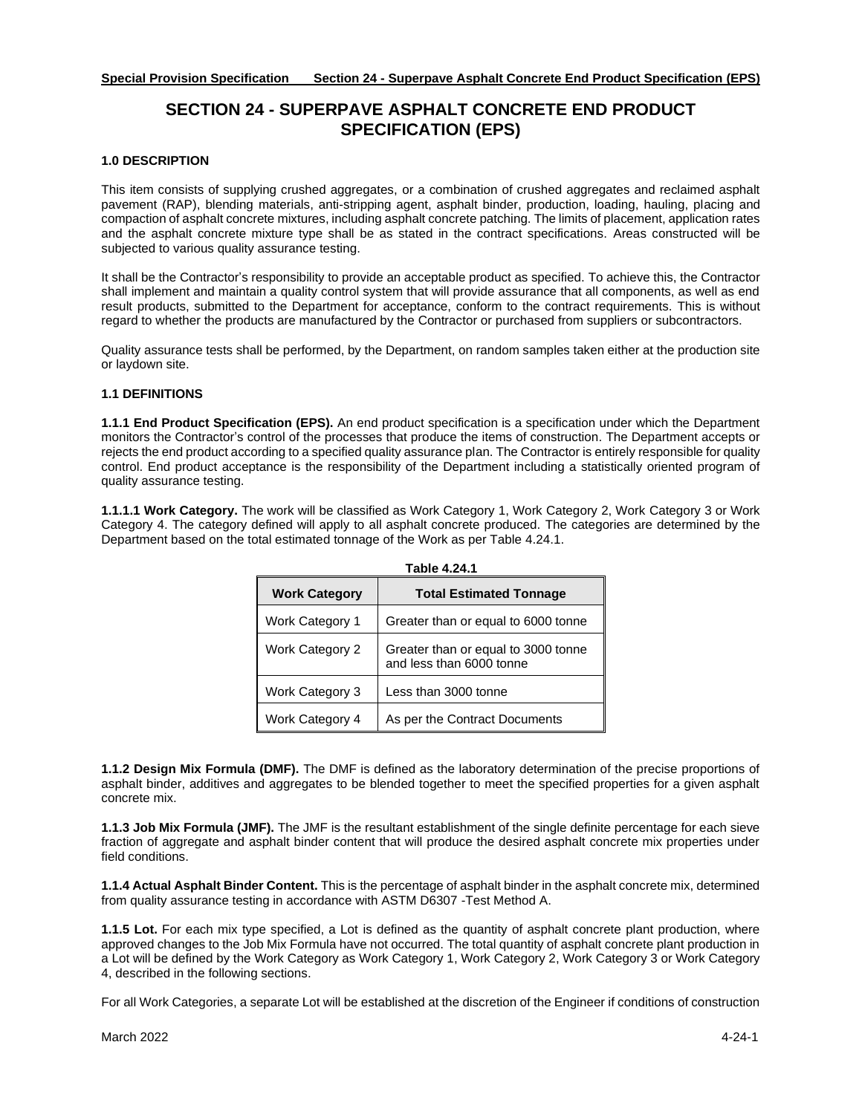# **SECTION 24 - SUPERPAVE ASPHALT CONCRETE END PRODUCT SPECIFICATION (EPS)**

# **1.0 DESCRIPTION**

This item consists of supplying crushed aggregates, or a combination of crushed aggregates and reclaimed asphalt pavement (RAP), blending materials, anti-stripping agent, asphalt binder, production, loading, hauling, placing and compaction of asphalt concrete mixtures, including asphalt concrete patching. The limits of placement, application rates and the asphalt concrete mixture type shall be as stated in the contract specifications. Areas constructed will be subjected to various quality assurance testing.

It shall be the Contractor's responsibility to provide an acceptable product as specified. To achieve this, the Contractor shall implement and maintain a quality control system that will provide assurance that all components, as well as end result products, submitted to the Department for acceptance, conform to the contract requirements. This is without regard to whether the products are manufactured by the Contractor or purchased from suppliers or subcontractors.

Quality assurance tests shall be performed, by the Department, on random samples taken either at the production site or laydown site.

# **1.1 DEFINITIONS**

**1.1.1 End Product Specification (EPS).** An end product specification is a specification under which the Department monitors the Contractor's control of the processes that produce the items of construction. The Department accepts or rejects the end product according to a specified quality assurance plan. The Contractor is entirely responsible for quality control. End product acceptance is the responsibility of the Department including a statistically oriented program of quality assurance testing.

**1.1.1.1 Work Category.** The work will be classified as Work Category 1, Work Category 2, Work Category 3 or Work Category 4. The category defined will apply to all asphalt concrete produced. The categories are determined by the Department based on the total estimated tonnage of the Work as per Table 4.24.1.

| <b>Work Category</b>   | <b>Total Estimated Tonnage</b>                                  |
|------------------------|-----------------------------------------------------------------|
| <b>Work Category 1</b> | Greater than or equal to 6000 tonne                             |
| <b>Work Category 2</b> | Greater than or equal to 3000 tonne<br>and less than 6000 tonne |
| Work Category 3        | Less than 3000 tonne                                            |
| Work Category 4        | As per the Contract Documents                                   |

| Table 4.24.1 |  |
|--------------|--|
|--------------|--|

**1.1.2 Design Mix Formula (DMF).** The DMF is defined as the laboratory determination of the precise proportions of asphalt binder, additives and aggregates to be blended together to meet the specified properties for a given asphalt concrete mix.

**1.1.3 Job Mix Formula (JMF).** The JMF is the resultant establishment of the single definite percentage for each sieve fraction of aggregate and asphalt binder content that will produce the desired asphalt concrete mix properties under field conditions.

**1.1.4 Actual Asphalt Binder Content.** This is the percentage of asphalt binder in the asphalt concrete mix, determined from quality assurance testing in accordance with ASTM D6307 -Test Method A.

**1.1.5 Lot.** For each mix type specified, a Lot is defined as the quantity of asphalt concrete plant production, where approved changes to the Job Mix Formula have not occurred. The total quantity of asphalt concrete plant production in a Lot will be defined by the Work Category as Work Category 1, Work Category 2, Work Category 3 or Work Category 4, described in the following sections.

For all Work Categories, a separate Lot will be established at the discretion of the Engineer if conditions of construction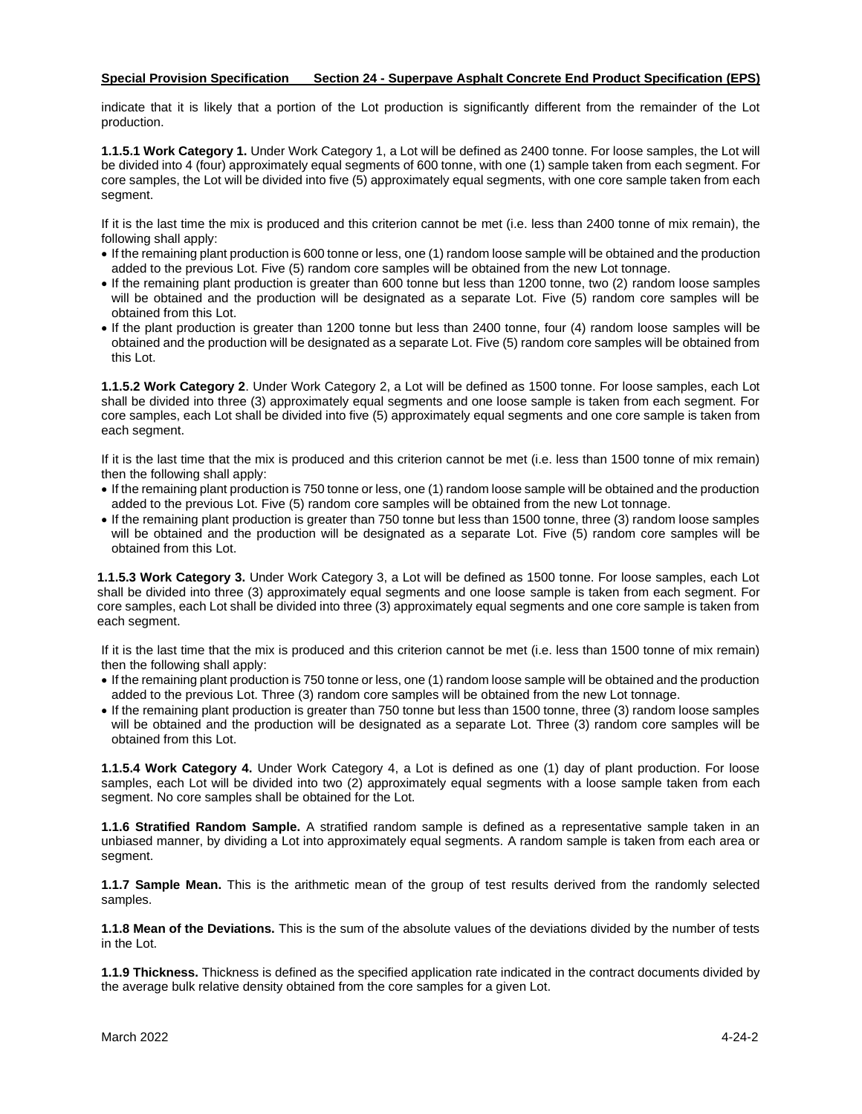indicate that it is likely that a portion of the Lot production is significantly different from the remainder of the Lot production.

**1.1.5.1 Work Category 1.** Under Work Category 1, a Lot will be defined as 2400 tonne. For loose samples, the Lot will be divided into 4 (four) approximately equal segments of 600 tonne, with one (1) sample taken from each segment. For core samples, the Lot will be divided into five (5) approximately equal segments, with one core sample taken from each segment.

If it is the last time the mix is produced and this criterion cannot be met (i.e. less than 2400 tonne of mix remain), the following shall apply:

- If the remaining plant production is 600 tonne or less, one (1) random loose sample will be obtained and the production added to the previous Lot. Five (5) random core samples will be obtained from the new Lot tonnage.
- If the remaining plant production is greater than 600 tonne but less than 1200 tonne, two (2) random loose samples will be obtained and the production will be designated as a separate Lot. Five (5) random core samples will be obtained from this Lot.
- If the plant production is greater than 1200 tonne but less than 2400 tonne, four (4) random loose samples will be obtained and the production will be designated as a separate Lot. Five (5) random core samples will be obtained from this Lot.

**1.1.5.2 Work Category 2**. Under Work Category 2, a Lot will be defined as 1500 tonne. For loose samples, each Lot shall be divided into three (3) approximately equal segments and one loose sample is taken from each segment. For core samples, each Lot shall be divided into five (5) approximately equal segments and one core sample is taken from each segment.

If it is the last time that the mix is produced and this criterion cannot be met (i.e. less than 1500 tonne of mix remain) then the following shall apply:

- If the remaining plant production is 750 tonne or less, one (1) random loose sample will be obtained and the production added to the previous Lot. Five (5) random core samples will be obtained from the new Lot tonnage.
- If the remaining plant production is greater than 750 tonne but less than 1500 tonne, three (3) random loose samples will be obtained and the production will be designated as a separate Lot. Five (5) random core samples will be obtained from this Lot.

**1.1.5.3 Work Category 3.** Under Work Category 3, a Lot will be defined as 1500 tonne. For loose samples, each Lot shall be divided into three (3) approximately equal segments and one loose sample is taken from each segment. For core samples, each Lot shall be divided into three (3) approximately equal segments and one core sample is taken from each segment.

If it is the last time that the mix is produced and this criterion cannot be met (i.e. less than 1500 tonne of mix remain) then the following shall apply:

- If the remaining plant production is 750 tonne or less, one (1) random loose sample will be obtained and the production added to the previous Lot. Three (3) random core samples will be obtained from the new Lot tonnage.
- If the remaining plant production is greater than 750 tonne but less than 1500 tonne, three (3) random loose samples will be obtained and the production will be designated as a separate Lot. Three (3) random core samples will be obtained from this Lot.

**1.1.5.4 Work Category 4.** Under Work Category 4, a Lot is defined as one (1) day of plant production. For loose samples, each Lot will be divided into two (2) approximately equal segments with a loose sample taken from each segment. No core samples shall be obtained for the Lot.

**1.1.6 Stratified Random Sample.** A stratified random sample is defined as a representative sample taken in an unbiased manner, by dividing a Lot into approximately equal segments. A random sample is taken from each area or segment.

**1.1.7 Sample Mean.** This is the arithmetic mean of the group of test results derived from the randomly selected samples.

**1.1.8 Mean of the Deviations.** This is the sum of the absolute values of the deviations divided by the number of tests in the Lot.

**1.1.9 Thickness.** Thickness is defined as the specified application rate indicated in the contract documents divided by the average bulk relative density obtained from the core samples for a given Lot.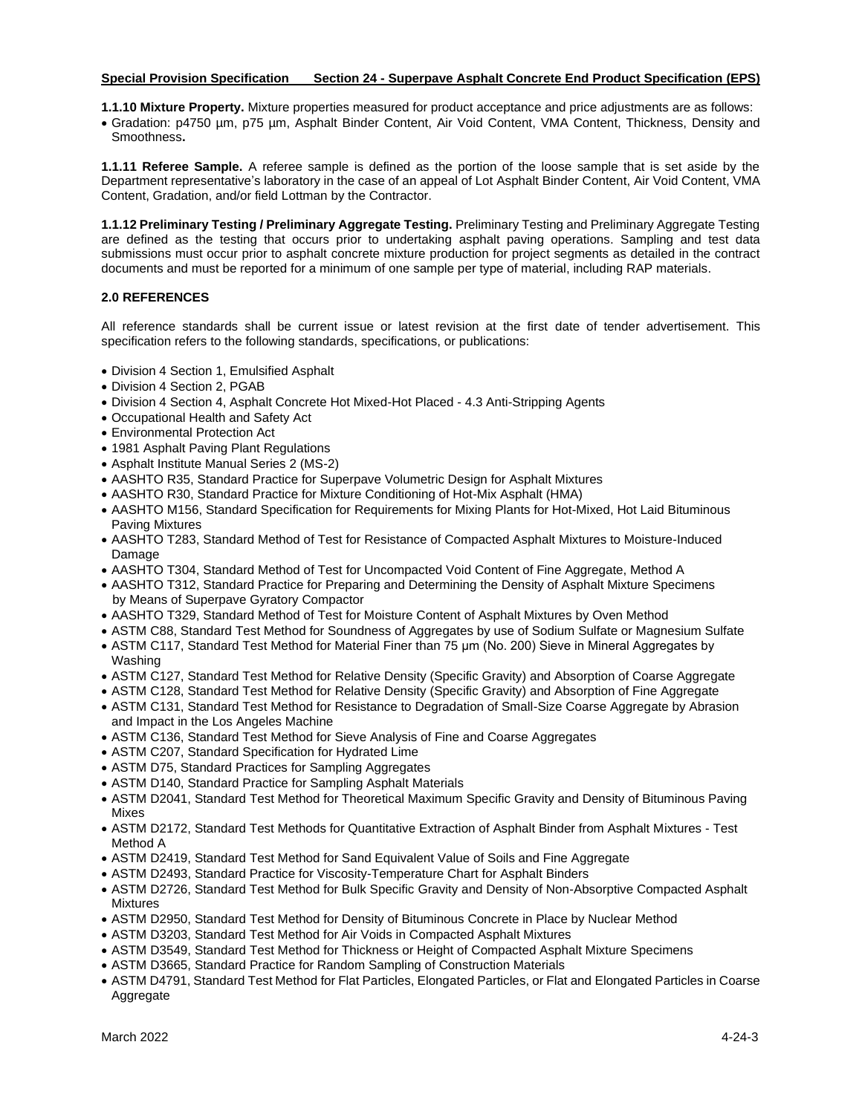**1.1.10 Mixture Property.** Mixture properties measured for product acceptance and price adjustments are as follows:

• Gradation: p4750 µm, p75 µm, Asphalt Binder Content, Air Void Content, VMA Content, Thickness, Density and Smoothness**.**

**1.1.11 Referee Sample.** A referee sample is defined as the portion of the loose sample that is set aside by the Department representative's laboratory in the case of an appeal of Lot Asphalt Binder Content, Air Void Content, VMA Content, Gradation, and/or field Lottman by the Contractor.

**1.1.12 Preliminary Testing / Preliminary Aggregate Testing.** Preliminary Testing and Preliminary Aggregate Testing are defined as the testing that occurs prior to undertaking asphalt paving operations. Sampling and test data submissions must occur prior to asphalt concrete mixture production for project segments as detailed in the contract documents and must be reported for a minimum of one sample per type of material, including RAP materials.

#### **2.0 REFERENCES**

All reference standards shall be current issue or latest revision at the first date of tender advertisement. This specification refers to the following standards, specifications, or publications:

- Division 4 Section 1, Emulsified Asphalt
- Division 4 Section 2, PGAB
- Division 4 Section 4, Asphalt Concrete Hot Mixed-Hot Placed 4.3 Anti-Stripping Agents
- Occupational Health and Safety Act
- Environmental Protection Act
- 1981 Asphalt Paving Plant Regulations
- Asphalt Institute Manual Series 2 (MS-2)
- AASHTO R35, Standard Practice for Superpave Volumetric Design for Asphalt Mixtures
- AASHTO R30, Standard Practice for Mixture Conditioning of Hot-Mix Asphalt (HMA)
- AASHTO M156, Standard Specification for Requirements for Mixing Plants for Hot-Mixed, Hot Laid Bituminous Paving Mixtures
- AASHTO T283, Standard Method of Test for Resistance of Compacted Asphalt Mixtures to Moisture-Induced Damage
- AASHTO T304, Standard Method of Test for Uncompacted Void Content of Fine Aggregate, Method A
- AASHTO T312, Standard Practice for Preparing and Determining the Density of Asphalt Mixture Specimens by Means of Superpave Gyratory Compactor
- AASHTO T329, Standard Method of Test for Moisture Content of Asphalt Mixtures by Oven Method
- ASTM C88, Standard Test Method for Soundness of Aggregates by use of Sodium Sulfate or Magnesium Sulfate
- ASTM C117, Standard Test Method for Material Finer than 75 μm (No. 200) Sieve in Mineral Aggregates by Washing
- ASTM C127, Standard Test Method for Relative Density (Specific Gravity) and Absorption of Coarse Aggregate
- ASTM C128, Standard Test Method for Relative Density (Specific Gravity) and Absorption of Fine Aggregate
- ASTM C131, Standard Test Method for Resistance to Degradation of Small-Size Coarse Aggregate by Abrasion and Impact in the Los Angeles Machine
- ASTM C136, Standard Test Method for Sieve Analysis of Fine and Coarse Aggregates
- ASTM C207, Standard Specification for Hydrated Lime
- ASTM D75, Standard Practices for Sampling Aggregates
- ASTM D140, Standard Practice for Sampling Asphalt Materials
- ASTM D2041, Standard Test Method for Theoretical Maximum Specific Gravity and Density of Bituminous Paving Mixes
- ASTM D2172, Standard Test Methods for Quantitative Extraction of Asphalt Binder from Asphalt Mixtures Test Method A
- ASTM D2419, Standard Test Method for Sand Equivalent Value of Soils and Fine Aggregate
- ASTM D2493, Standard Practice for Viscosity-Temperature Chart for Asphalt Binders
- ASTM D2726, Standard Test Method for Bulk Specific Gravity and Density of Non-Absorptive Compacted Asphalt Mixtures
- ASTM D2950, Standard Test Method for Density of Bituminous Concrete in Place by Nuclear Method
- ASTM D3203, Standard Test Method for Air Voids in Compacted Asphalt Mixtures
- ASTM D3549, Standard Test Method for Thickness or Height of Compacted Asphalt Mixture Specimens
- ASTM D3665, Standard Practice for Random Sampling of Construction Materials
- ASTM D4791, Standard Test Method for Flat Particles, Elongated Particles, or Flat and Elongated Particles in Coarse Aggregate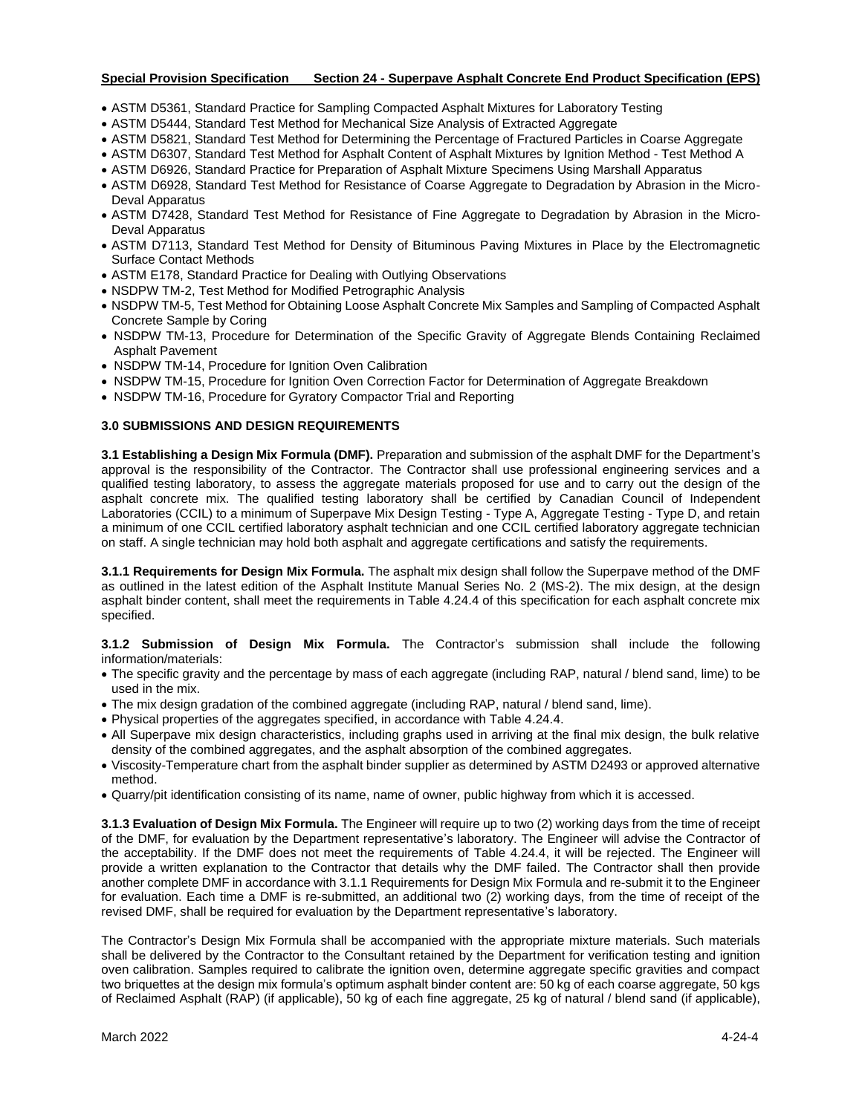- ASTM D5361, Standard Practice for Sampling Compacted Asphalt Mixtures for Laboratory Testing
- ASTM D5444, Standard Test Method for Mechanical Size Analysis of Extracted Aggregate
- ASTM D5821, Standard Test Method for Determining the Percentage of Fractured Particles in Coarse Aggregate
- ASTM D6307, Standard Test Method for Asphalt Content of Asphalt Mixtures by Ignition Method Test Method A
- ASTM D6926, Standard Practice for Preparation of Asphalt Mixture Specimens Using Marshall Apparatus
- ASTM D6928, Standard Test Method for Resistance of Coarse Aggregate to Degradation by Abrasion in the Micro-Deval Apparatus
- ASTM D7428, Standard Test Method for Resistance of Fine Aggregate to Degradation by Abrasion in the Micro-Deval Apparatus
- ASTM D7113, Standard Test Method for Density of Bituminous Paving Mixtures in Place by the Electromagnetic Surface Contact Methods
- ASTM E178, Standard Practice for Dealing with Outlying Observations
- NSDPW TM-2, Test Method for Modified Petrographic Analysis
- NSDPW TM-5, Test Method for Obtaining Loose Asphalt Concrete Mix Samples and Sampling of Compacted Asphalt Concrete Sample by Coring
- NSDPW TM-13, Procedure for Determination of the Specific Gravity of Aggregate Blends Containing Reclaimed Asphalt Pavement
- NSDPW TM-14, Procedure for Ignition Oven Calibration
- NSDPW TM-15, Procedure for Ignition Oven Correction Factor for Determination of Aggregate Breakdown
- NSDPW TM-16, Procedure for Gyratory Compactor Trial and Reporting

# **3.0 SUBMISSIONS AND DESIGN REQUIREMENTS**

**3.1 Establishing a Design Mix Formula (DMF).** Preparation and submission of the asphalt DMF for the Department's approval is the responsibility of the Contractor. The Contractor shall use professional engineering services and a qualified testing laboratory, to assess the aggregate materials proposed for use and to carry out the design of the asphalt concrete mix. The qualified testing laboratory shall be certified by Canadian Council of Independent Laboratories (CCIL) to a minimum of Superpave Mix Design Testing - Type A, Aggregate Testing - Type D, and retain a minimum of one CCIL certified laboratory asphalt technician and one CCIL certified laboratory aggregate technician on staff. A single technician may hold both asphalt and aggregate certifications and satisfy the requirements.

**3.1.1 Requirements for Design Mix Formula.** The asphalt mix design shall follow the Superpave method of the DMF as outlined in the latest edition of the Asphalt Institute Manual Series No. 2 (MS-2). The mix design, at the design asphalt binder content, shall meet the requirements in Table 4.24.4 of this specification for each asphalt concrete mix specified.

**3.1.2 Submission of Design Mix Formula.** The Contractor's submission shall include the following information/materials:

- The specific gravity and the percentage by mass of each aggregate (including RAP, natural / blend sand, lime) to be used in the mix.
- The mix design gradation of the combined aggregate (including RAP, natural / blend sand, lime).
- Physical properties of the aggregates specified, in accordance with Table 4.24.4.
- All Superpave mix design characteristics, including graphs used in arriving at the final mix design, the bulk relative density of the combined aggregates, and the asphalt absorption of the combined aggregates.
- Viscosity-Temperature chart from the asphalt binder supplier as determined by ASTM D2493 or approved alternative method.
- Quarry/pit identification consisting of its name, name of owner, public highway from which it is accessed.

**3.1.3 Evaluation of Design Mix Formula.** The Engineer will require up to two (2) working days from the time of receipt of the DMF, for evaluation by the Department representative's laboratory. The Engineer will advise the Contractor of the acceptability. If the DMF does not meet the requirements of Table 4.24.4, it will be rejected. The Engineer will provide a written explanation to the Contractor that details why the DMF failed. The Contractor shall then provide another complete DMF in accordance with 3.1.1 Requirements for Design Mix Formula and re-submit it to the Engineer for evaluation. Each time a DMF is re-submitted, an additional two (2) working days, from the time of receipt of the revised DMF, shall be required for evaluation by the Department representative's laboratory.

The Contractor's Design Mix Formula shall be accompanied with the appropriate mixture materials. Such materials shall be delivered by the Contractor to the Consultant retained by the Department for verification testing and ignition oven calibration. Samples required to calibrate the ignition oven, determine aggregate specific gravities and compact two briquettes at the design mix formula's optimum asphalt binder content are: 50 kg of each coarse aggregate, 50 kgs of Reclaimed Asphalt (RAP) (if applicable), 50 kg of each fine aggregate, 25 kg of natural / blend sand (if applicable),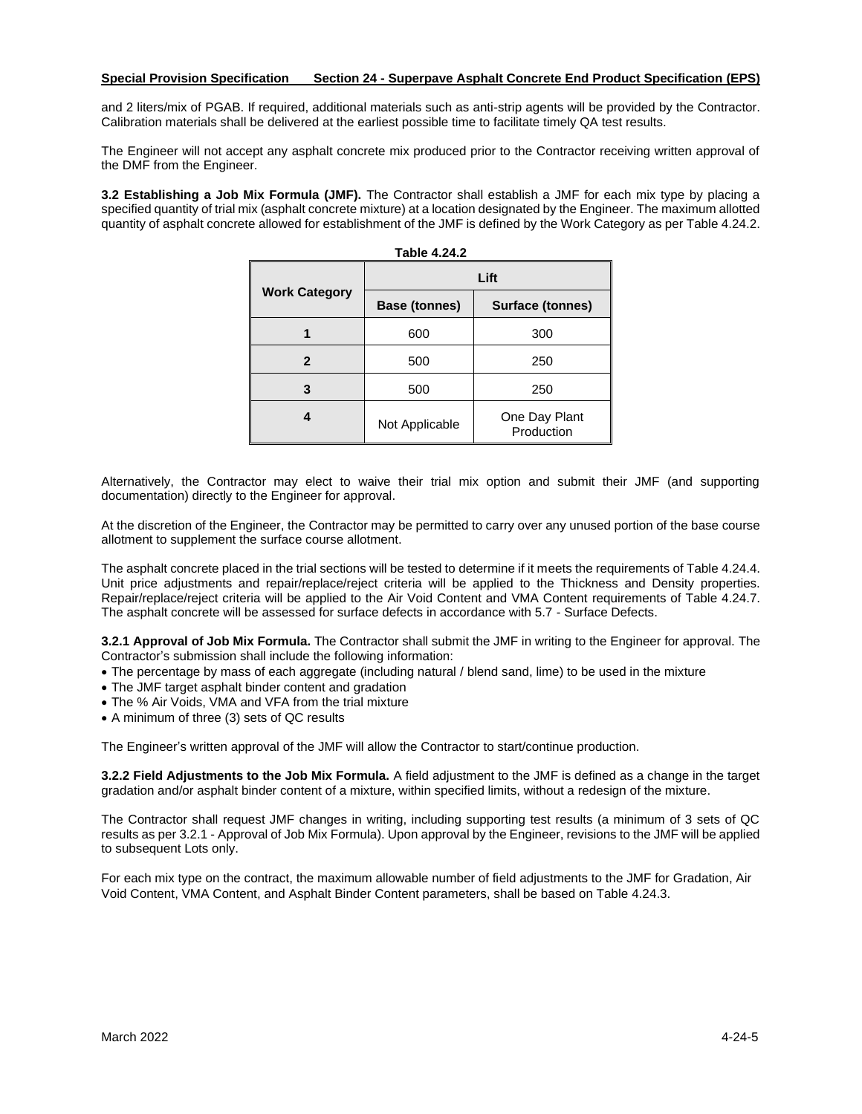and 2 liters/mix of PGAB. If required, additional materials such as anti-strip agents will be provided by the Contractor. Calibration materials shall be delivered at the earliest possible time to facilitate timely QA test results.

The Engineer will not accept any asphalt concrete mix produced prior to the Contractor receiving written approval of the DMF from the Engineer.

**3.2 Establishing a Job Mix Formula (JMF).** The Contractor shall establish a JMF for each mix type by placing a specified quantity of trial mix (asphalt concrete mixture) at a location designated by the Engineer. The maximum allotted quantity of asphalt concrete allowed for establishment of the JMF is defined by the Work Category as per Table 4.24.2.

| <b>Table 4.24.2</b>  |                                          |                             |  |  |
|----------------------|------------------------------------------|-----------------------------|--|--|
|                      | Lift                                     |                             |  |  |
| <b>Work Category</b> | Surface (tonnes)<br><b>Base (tonnes)</b> |                             |  |  |
|                      | 600                                      | 300                         |  |  |
| 2                    | 500                                      | 250                         |  |  |
| 3                    | 500                                      | 250                         |  |  |
|                      | Not Applicable                           | One Day Plant<br>Production |  |  |

Alternatively, the Contractor may elect to waive their trial mix option and submit their JMF (and supporting documentation) directly to the Engineer for approval.

At the discretion of the Engineer, the Contractor may be permitted to carry over any unused portion of the base course allotment to supplement the surface course allotment.

The asphalt concrete placed in the trial sections will be tested to determine if it meets the requirements of Table 4.24.4. Unit price adjustments and repair/replace/reject criteria will be applied to the Thickness and Density properties. Repair/replace/reject criteria will be applied to the Air Void Content and VMA Content requirements of Table 4.24.7. The asphalt concrete will be assessed for surface defects in accordance with 5.7 - Surface Defects.

**3.2.1 Approval of Job Mix Formula.** The Contractor shall submit the JMF in writing to the Engineer for approval. The Contractor's submission shall include the following information:

- The percentage by mass of each aggregate (including natural / blend sand, lime) to be used in the mixture
- The JMF target asphalt binder content and gradation
- The % Air Voids, VMA and VFA from the trial mixture
- A minimum of three (3) sets of QC results

The Engineer's written approval of the JMF will allow the Contractor to start/continue production.

**3.2.2 Field Adjustments to the Job Mix Formula.** A field adjustment to the JMF is defined as a change in the target gradation and/or asphalt binder content of a mixture, within specified limits, without a redesign of the mixture.

The Contractor shall request JMF changes in writing, including supporting test results (a minimum of 3 sets of QC results as per 3.2.1 - Approval of Job Mix Formula). Upon approval by the Engineer, revisions to the JMF will be applied to subsequent Lots only.

For each mix type on the contract, the maximum allowable number of field adjustments to the JMF for Gradation, Air Void Content, VMA Content, and Asphalt Binder Content parameters, shall be based on Table 4.24.3.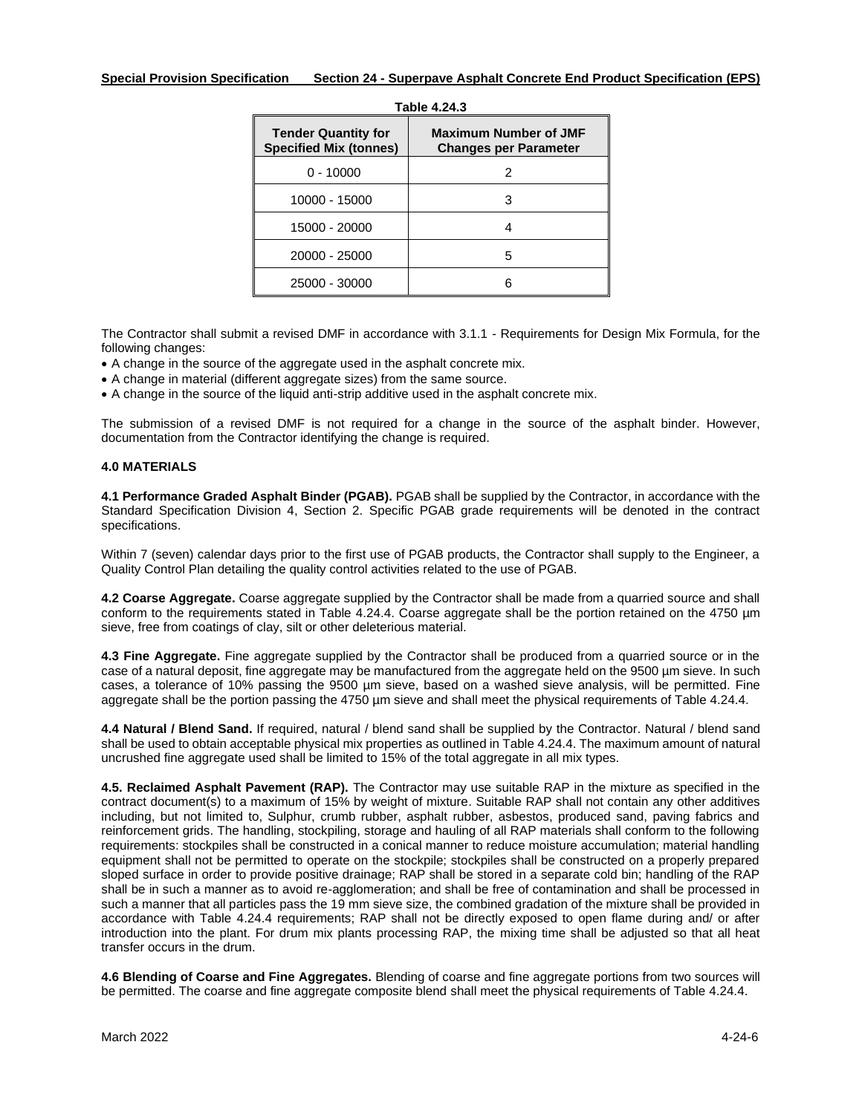| Table 4.24.3                                                |                                                              |  |  |
|-------------------------------------------------------------|--------------------------------------------------------------|--|--|
| <b>Tender Quantity for</b><br><b>Specified Mix (tonnes)</b> | <b>Maximum Number of JMF</b><br><b>Changes per Parameter</b> |  |  |
| $0 - 10000$                                                 | 2                                                            |  |  |
| 10000 - 15000                                               | З                                                            |  |  |
| 15000 - 20000                                               | 4                                                            |  |  |
| 20000 - 25000                                               | 5                                                            |  |  |
| 25000 - 30000                                               | հ                                                            |  |  |

The Contractor shall submit a revised DMF in accordance with 3.1.1 - Requirements for Design Mix Formula, for the following changes:

- A change in the source of the aggregate used in the asphalt concrete mix.
- A change in material (different aggregate sizes) from the same source.
- A change in the source of the liquid anti-strip additive used in the asphalt concrete mix.

The submission of a revised DMF is not required for a change in the source of the asphalt binder. However, documentation from the Contractor identifying the change is required.

# **4.0 MATERIALS**

**4.1 Performance Graded Asphalt Binder (PGAB).** PGAB shall be supplied by the Contractor, in accordance with the Standard Specification Division 4, Section 2. Specific PGAB grade requirements will be denoted in the contract specifications.

Within 7 (seven) calendar days prior to the first use of PGAB products, the Contractor shall supply to the Engineer, a Quality Control Plan detailing the quality control activities related to the use of PGAB.

**4.2 Coarse Aggregate.** Coarse aggregate supplied by the Contractor shall be made from a quarried source and shall conform to the requirements stated in Table 4.24.4. Coarse aggregate shall be the portion retained on the 4750 µm sieve, free from coatings of clay, silt or other deleterious material.

**4.3 Fine Aggregate.** Fine aggregate supplied by the Contractor shall be produced from a quarried source or in the case of a natural deposit, fine aggregate may be manufactured from the aggregate held on the 9500 µm sieve. In such cases, a tolerance of 10% passing the 9500 µm sieve, based on a washed sieve analysis, will be permitted. Fine aggregate shall be the portion passing the 4750 µm sieve and shall meet the physical requirements of Table 4.24.4.

**4.4 Natural / Blend Sand.** If required, natural / blend sand shall be supplied by the Contractor. Natural / blend sand shall be used to obtain acceptable physical mix properties as outlined in Table 4.24.4. The maximum amount of natural uncrushed fine aggregate used shall be limited to 15% of the total aggregate in all mix types.

**4.5. Reclaimed Asphalt Pavement (RAP).** The Contractor may use suitable RAP in the mixture as specified in the contract document(s) to a maximum of 15% by weight of mixture. Suitable RAP shall not contain any other additives including, but not limited to, Sulphur, crumb rubber, asphalt rubber, asbestos, produced sand, paving fabrics and reinforcement grids. The handling, stockpiling, storage and hauling of all RAP materials shall conform to the following requirements: stockpiles shall be constructed in a conical manner to reduce moisture accumulation; material handling equipment shall not be permitted to operate on the stockpile; stockpiles shall be constructed on a properly prepared sloped surface in order to provide positive drainage; RAP shall be stored in a separate cold bin; handling of the RAP shall be in such a manner as to avoid re-agglomeration; and shall be free of contamination and shall be processed in such a manner that all particles pass the 19 mm sieve size, the combined gradation of the mixture shall be provided in accordance with Table 4.24.4 requirements; RAP shall not be directly exposed to open flame during and/ or after introduction into the plant. For drum mix plants processing RAP, the mixing time shall be adjusted so that all heat transfer occurs in the drum.

**4.6 Blending of Coarse and Fine Aggregates.** Blending of coarse and fine aggregate portions from two sources will be permitted. The coarse and fine aggregate composite blend shall meet the physical requirements of Table 4.24.4.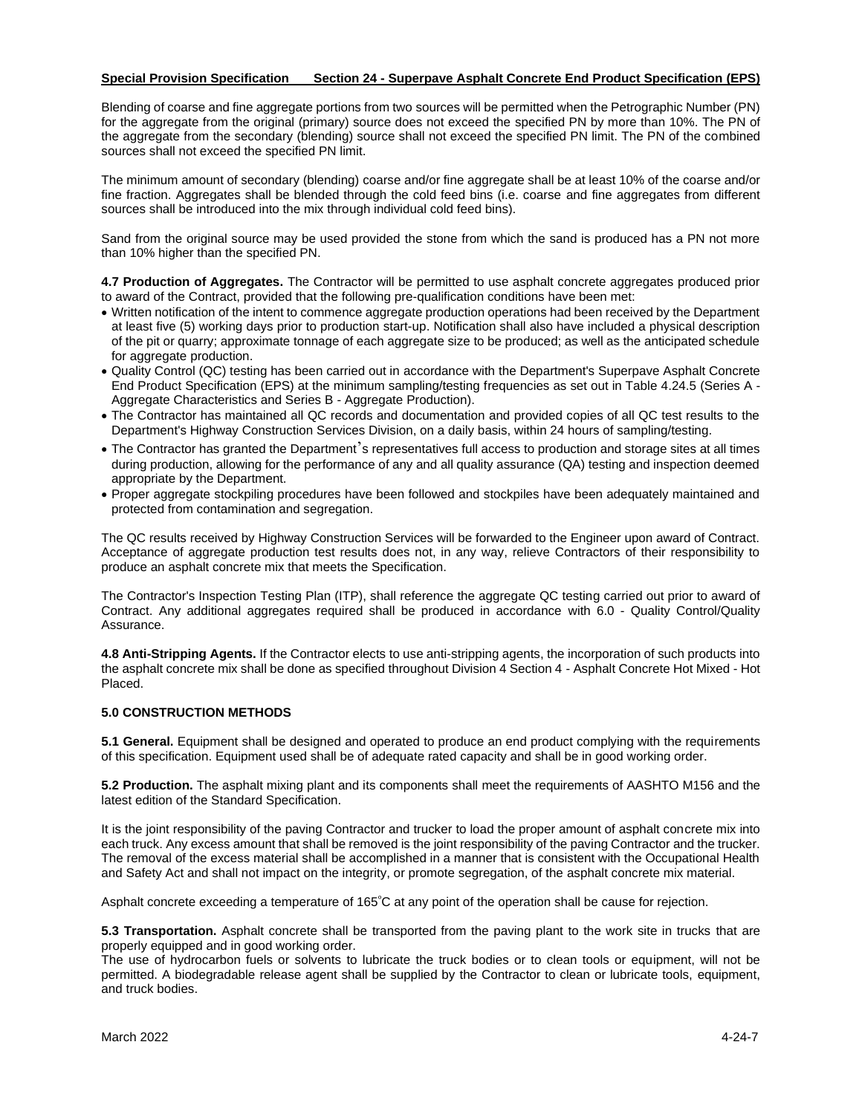Blending of coarse and fine aggregate portions from two sources will be permitted when the Petrographic Number (PN) for the aggregate from the original (primary) source does not exceed the specified PN by more than 10%. The PN of the aggregate from the secondary (blending) source shall not exceed the specified PN limit. The PN of the combined sources shall not exceed the specified PN limit.

The minimum amount of secondary (blending) coarse and/or fine aggregate shall be at least 10% of the coarse and/or fine fraction. Aggregates shall be blended through the cold feed bins (i.e. coarse and fine aggregates from different sources shall be introduced into the mix through individual cold feed bins).

Sand from the original source may be used provided the stone from which the sand is produced has a PN not more than 10% higher than the specified PN.

**4.7 Production of Aggregates.** The Contractor will be permitted to use asphalt concrete aggregates produced prior to award of the Contract, provided that the following pre-qualification conditions have been met:

- Written notification of the intent to commence aggregate production operations had been received by the Department at least five (5) working days prior to production start-up. Notification shall also have included a physical description of the pit or quarry; approximate tonnage of each aggregate size to be produced; as well as the anticipated schedule for aggregate production.
- Quality Control (QC) testing has been carried out in accordance with the Department's Superpave Asphalt Concrete End Product Specification (EPS) at the minimum sampling/testing frequencies as set out in Table 4.24.5 (Series A - Aggregate Characteristics and Series B - Aggregate Production).
- The Contractor has maintained all QC records and documentation and provided copies of all QC test results to the Department's Highway Construction Services Division, on a daily basis, within 24 hours of sampling/testing.
- The Contractor has granted the Department's representatives full access to production and storage sites at all times during production, allowing for the performance of any and all quality assurance (QA) testing and inspection deemed appropriate by the Department.
- Proper aggregate stockpiling procedures have been followed and stockpiles have been adequately maintained and protected from contamination and segregation.

The QC results received by Highway Construction Services will be forwarded to the Engineer upon award of Contract. Acceptance of aggregate production test results does not, in any way, relieve Contractors of their responsibility to produce an asphalt concrete mix that meets the Specification.

The Contractor's Inspection Testing Plan (ITP), shall reference the aggregate QC testing carried out prior to award of Contract. Any additional aggregates required shall be produced in accordance with 6.0 - Quality Control/Quality Assurance.

**4.8 Anti-Stripping Agents.** If the Contractor elects to use anti-stripping agents, the incorporation of such products into the asphalt concrete mix shall be done as specified throughout Division 4 Section 4 - Asphalt Concrete Hot Mixed - Hot Placed.

#### **5.0 CONSTRUCTION METHODS**

**5.1 General.** Equipment shall be designed and operated to produce an end product complying with the requirements of this specification. Equipment used shall be of adequate rated capacity and shall be in good working order.

**5.2 Production.** The asphalt mixing plant and its components shall meet the requirements of AASHTO M156 and the latest edition of the Standard Specification.

It is the joint responsibility of the paving Contractor and trucker to load the proper amount of asphalt concrete mix into each truck. Any excess amount that shall be removed is the joint responsibility of the paving Contractor and the trucker. The removal of the excess material shall be accomplished in a manner that is consistent with the Occupational Health and Safety Act and shall not impact on the integrity, or promote segregation, of the asphalt concrete mix material.

Asphalt concrete exceeding a temperature of 165<sup>º</sup>C at any point of the operation shall be cause for rejection.

**5.3 Transportation.** Asphalt concrete shall be transported from the paving plant to the work site in trucks that are properly equipped and in good working order.

The use of hydrocarbon fuels or solvents to lubricate the truck bodies or to clean tools or equipment, will not be permitted. A biodegradable release agent shall be supplied by the Contractor to clean or lubricate tools, equipment, and truck bodies.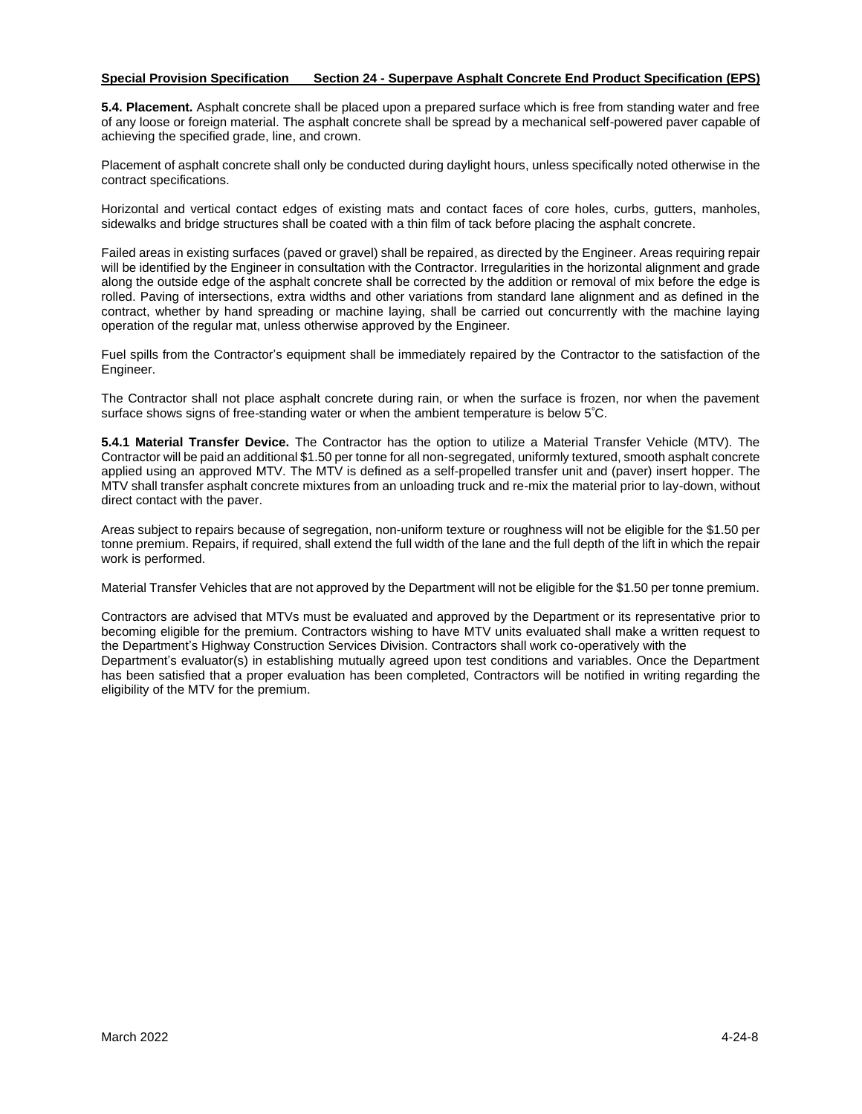**5.4. Placement.** Asphalt concrete shall be placed upon a prepared surface which is free from standing water and free of any loose or foreign material. The asphalt concrete shall be spread by a mechanical self-powered paver capable of achieving the specified grade, line, and crown.

Placement of asphalt concrete shall only be conducted during daylight hours, unless specifically noted otherwise in the contract specifications.

Horizontal and vertical contact edges of existing mats and contact faces of core holes, curbs, gutters, manholes, sidewalks and bridge structures shall be coated with a thin film of tack before placing the asphalt concrete.

Failed areas in existing surfaces (paved or gravel) shall be repaired, as directed by the Engineer. Areas requiring repair will be identified by the Engineer in consultation with the Contractor. Irregularities in the horizontal alignment and grade along the outside edge of the asphalt concrete shall be corrected by the addition or removal of mix before the edge is rolled. Paving of intersections, extra widths and other variations from standard lane alignment and as defined in the contract, whether by hand spreading or machine laying, shall be carried out concurrently with the machine laying operation of the regular mat, unless otherwise approved by the Engineer.

Fuel spills from the Contractor's equipment shall be immediately repaired by the Contractor to the satisfaction of the Engineer.

The Contractor shall not place asphalt concrete during rain, or when the surface is frozen, nor when the pavement surface shows signs of free-standing water or when the ambient temperature is below 5<sup>º</sup>C.

**5.4.1 Material Transfer Device.** The Contractor has the option to utilize a Material Transfer Vehicle (MTV). The Contractor will be paid an additional \$1.50 per tonne for all non-segregated, uniformly textured, smooth asphalt concrete applied using an approved MTV. The MTV is defined as a self-propelled transfer unit and (paver) insert hopper. The MTV shall transfer asphalt concrete mixtures from an unloading truck and re-mix the material prior to lay-down, without direct contact with the paver.

Areas subject to repairs because of segregation, non-uniform texture or roughness will not be eligible for the \$1.50 per tonne premium. Repairs, if required, shall extend the full width of the lane and the full depth of the lift in which the repair work is performed.

Material Transfer Vehicles that are not approved by the Department will not be eligible for the \$1.50 per tonne premium.

Contractors are advised that MTVs must be evaluated and approved by the Department or its representative prior to becoming eligible for the premium. Contractors wishing to have MTV units evaluated shall make a written request to the Department's Highway Construction Services Division. Contractors shall work co-operatively with the Department's evaluator(s) in establishing mutually agreed upon test conditions and variables. Once the Department has been satisfied that a proper evaluation has been completed, Contractors will be notified in writing regarding the eligibility of the MTV for the premium.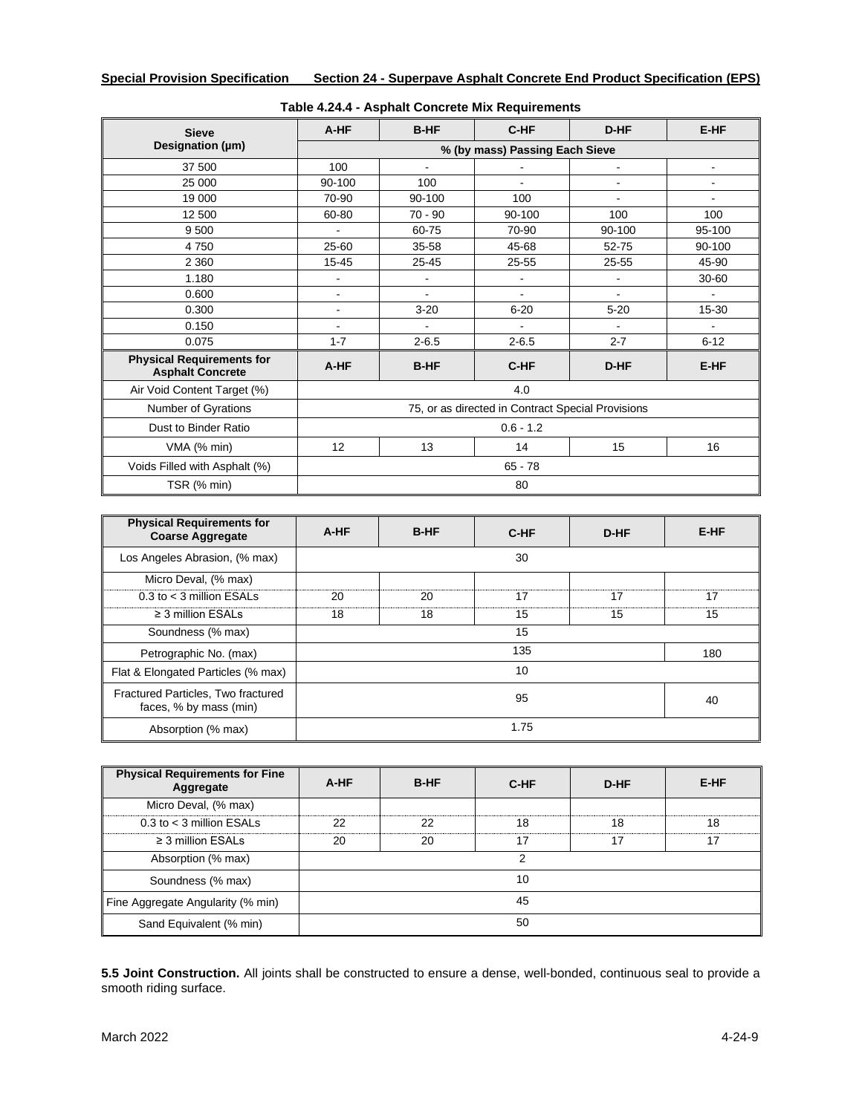| <b>Sieve</b>                                                | A-HF                                              | <b>B-HF</b>    | C-HF           | D-HF           | E-HF           |
|-------------------------------------------------------------|---------------------------------------------------|----------------|----------------|----------------|----------------|
| Designation (µm)                                            | % (by mass) Passing Each Sieve                    |                |                |                |                |
| 37 500                                                      | 100                                               | $\blacksquare$ |                | $\blacksquare$ | ۰              |
| 25 000                                                      | 90-100                                            | 100            | ÷.             | ۰              | ä,             |
| 19 000                                                      | 70-90                                             | 90-100         | 100            |                |                |
| 12 500                                                      | 60-80                                             | $70 - 90$      | 90-100         | 100            | 100            |
| 9500                                                        |                                                   | 60-75          | 70-90          | 90-100         | 95-100         |
| 4750                                                        | 25-60                                             | 35-58          | 45-68          | 52-75          | 90-100         |
| 2 3 6 0                                                     | 15-45                                             | 25-45          | $25 - 55$      | $25 - 55$      | 45-90          |
| 1.180                                                       | $\overline{\phantom{a}}$                          | $\overline{a}$ | $\blacksquare$ | $\blacksquare$ | 30-60          |
| 0.600                                                       | $\blacksquare$                                    | ä,             | $\blacksquare$ | $\blacksquare$ | $\blacksquare$ |
| 0.300                                                       | $\blacksquare$                                    | $3 - 20$       | $6 - 20$       | $5 - 20$       | 15-30          |
| 0.150                                                       | $\blacksquare$                                    | $\blacksquare$ | ÷.             |                | ۰              |
| 0.075                                                       | $1 - 7$                                           | $2 - 6.5$      | $2 - 6.5$      | $2 - 7$        | $6 - 12$       |
| <b>Physical Requirements for</b><br><b>Asphalt Concrete</b> | A-HF                                              | <b>B-HF</b>    | C-HF           | D-HF           | E-HF           |
| Air Void Content Target (%)                                 |                                                   |                | 4.0            |                |                |
| Number of Gyrations                                         | 75, or as directed in Contract Special Provisions |                |                |                |                |
| Dust to Binder Ratio                                        | $0.6 - 1.2$                                       |                |                |                |                |
| VMA (% min)                                                 | 12                                                | 13             | 14             | 15             | 16             |
| Voids Filled with Asphalt (%)                               | $65 - 78$                                         |                |                |                |                |
| TSR (% min)                                                 |                                                   |                | 80             |                |                |

#### **Table 4.24.4 - Asphalt Concrete Mix Requirements**

| <b>Physical Requirements for</b><br><b>Coarse Aggregate</b>  | A-HF     | <b>B-HF</b> | C-HF | D-HF | E-HF |
|--------------------------------------------------------------|----------|-------------|------|------|------|
| Los Angeles Abrasion, (% max)                                |          |             | 30   |      |      |
| Micro Deval, (% max)                                         |          |             |      |      |      |
| $0.3$ to $<$ 3 million ESALs                                 | 20       | 20          | 17   | 17   | 17   |
| $\geq$ 3 million ESALs                                       | 18       | 18          | 15   | 15   | 15   |
| Soundness (% max)                                            |          | 15          |      |      |      |
| Petrographic No. (max)                                       |          | 135<br>180  |      |      |      |
| Flat & Elongated Particles (% max)                           | 10       |             |      |      |      |
| Fractured Particles, Two fractured<br>faces, % by mass (min) | 95<br>40 |             |      |      |      |
| Absorption (% max)                                           | 1.75     |             |      |      |      |

| <b>Physical Requirements for Fine</b><br>Aggregate | A-HF | <b>B-HF</b> | C-HF | D-HF | E-HF |
|----------------------------------------------------|------|-------------|------|------|------|
| Micro Deval, (% max)                               |      |             |      |      |      |
| $0.3$ to $<$ 3 million ESALs                       | 22   | 22          | 18   | 18   | 18   |
| $\geq$ 3 million ESALs                             | 20   | 20          | 17   | 17   | 17   |
| Absorption (% max)                                 | 2    |             |      |      |      |
| Soundness (% max)                                  | 10   |             |      |      |      |
| Fine Aggregate Angularity (% min)                  | 45   |             |      |      |      |
| Sand Equivalent (% min)                            | 50   |             |      |      |      |

**5.5 Joint Construction.** All joints shall be constructed to ensure a dense, well-bonded, continuous seal to provide a smooth riding surface.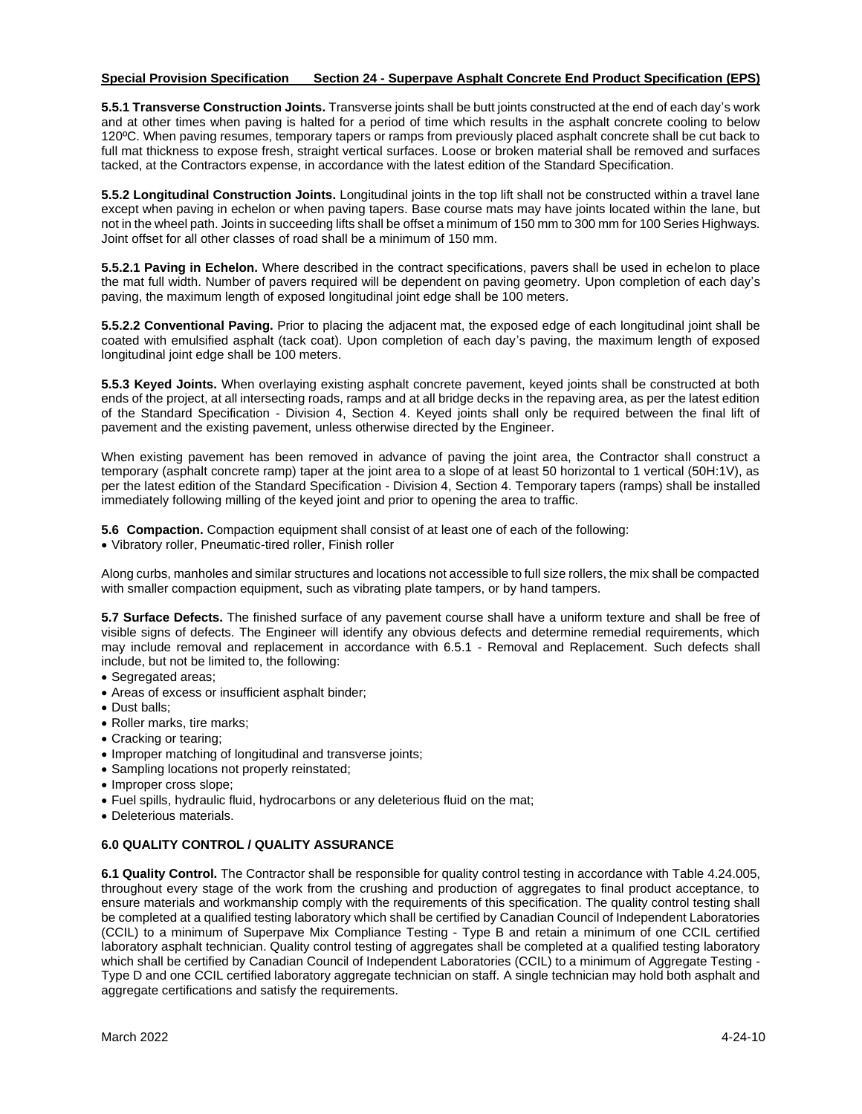**5.5.1 Transverse Construction Joints.** Transverse joints shall be butt joints constructed at the end of each day's work and at other times when paving is halted for a period of time which results in the asphalt concrete cooling to below 120ºC. When paving resumes, temporary tapers or ramps from previously placed asphalt concrete shall be cut back to full mat thickness to expose fresh, straight vertical surfaces. Loose or broken material shall be removed and surfaces tacked, at the Contractors expense, in accordance with the latest edition of the Standard Specification.

**5.5.2 Longitudinal Construction Joints.** Longitudinal joints in the top lift shall not be constructed within a travel lane except when paving in echelon or when paving tapers. Base course mats may have joints located within the lane, but not in the wheel path. Joints in succeeding lifts shall be offset a minimum of 150 mm to 300 mm for 100 Series Highways. Joint offset for all other classes of road shall be a minimum of 150 mm.

**5.5.2.1 Paving in Echelon.** Where described in the contract specifications, pavers shall be used in echelon to place the mat full width. Number of pavers required will be dependent on paving geometry. Upon completion of each day's paving, the maximum length of exposed longitudinal joint edge shall be 100 meters.

**5.5.2.2 Conventional Paving.** Prior to placing the adjacent mat, the exposed edge of each longitudinal joint shall be coated with emulsified asphalt (tack coat). Upon completion of each day's paving, the maximum length of exposed longitudinal joint edge shall be 100 meters.

**5.5.3 Keyed Joints.** When overlaying existing asphalt concrete pavement, keyed joints shall be constructed at both ends of the project, at all intersecting roads, ramps and at all bridge decks in the repaving area, as per the latest edition of the Standard Specification - Division 4, Section 4. Keyed joints shall only be required between the final lift of pavement and the existing pavement, unless otherwise directed by the Engineer.

When existing pavement has been removed in advance of paving the joint area, the Contractor shall construct a temporary (asphalt concrete ramp) taper at the joint area to a slope of at least 50 horizontal to 1 vertical (50H:1V), as per the latest edition of the Standard Specification - Division 4, Section 4. Temporary tapers (ramps) shall be installed immediately following milling of the keyed joint and prior to opening the area to traffic.

**5.6 Compaction.** Compaction equipment shall consist of at least one of each of the following:

• Vibratory roller, Pneumatic-tired roller, Finish roller

Along curbs, manholes and similar structures and locations not accessible to full size rollers, the mix shall be compacted with smaller compaction equipment, such as vibrating plate tampers, or by hand tampers.

**5.7 Surface Defects.** The finished surface of any pavement course shall have a uniform texture and shall be free of visible signs of defects. The Engineer will identify any obvious defects and determine remedial requirements, which may include removal and replacement in accordance with 6.5.1 - Removal and Replacement. Such defects shall include, but not be limited to, the following:

- Segregated areas:
- Areas of excess or insufficient asphalt binder:
- Dust balls;
- Roller marks, tire marks;
- Cracking or tearing;
- Improper matching of longitudinal and transverse joints:
- Sampling locations not properly reinstated;
- Improper cross slope:
- Fuel spills, hydraulic fluid, hydrocarbons or any deleterious fluid on the mat;
- Deleterious materials.

# **6.0 QUALITY CONTROL / QUALITY ASSURANCE**

**6.1 Quality Control.** The Contractor shall be responsible for quality control testing in accordance with Table 4.24.005, throughout every stage of the work from the crushing and production of aggregates to final product acceptance, to ensure materials and workmanship comply with the requirements of this specification. The quality control testing shall be completed at a qualified testing laboratory which shall be certified by Canadian Council of Independent Laboratories (CCIL) to a minimum of Superpave Mix Compliance Testing - Type B and retain a minimum of one CCIL certified laboratory asphalt technician. Quality control testing of aggregates shall be completed at a qualified testing laboratory which shall be certified by Canadian Council of Independent Laboratories (CCIL) to a minimum of Aggregate Testing - Type D and one CCIL certified laboratory aggregate technician on staff. A single technician may hold both asphalt and aggregate certifications and satisfy the requirements.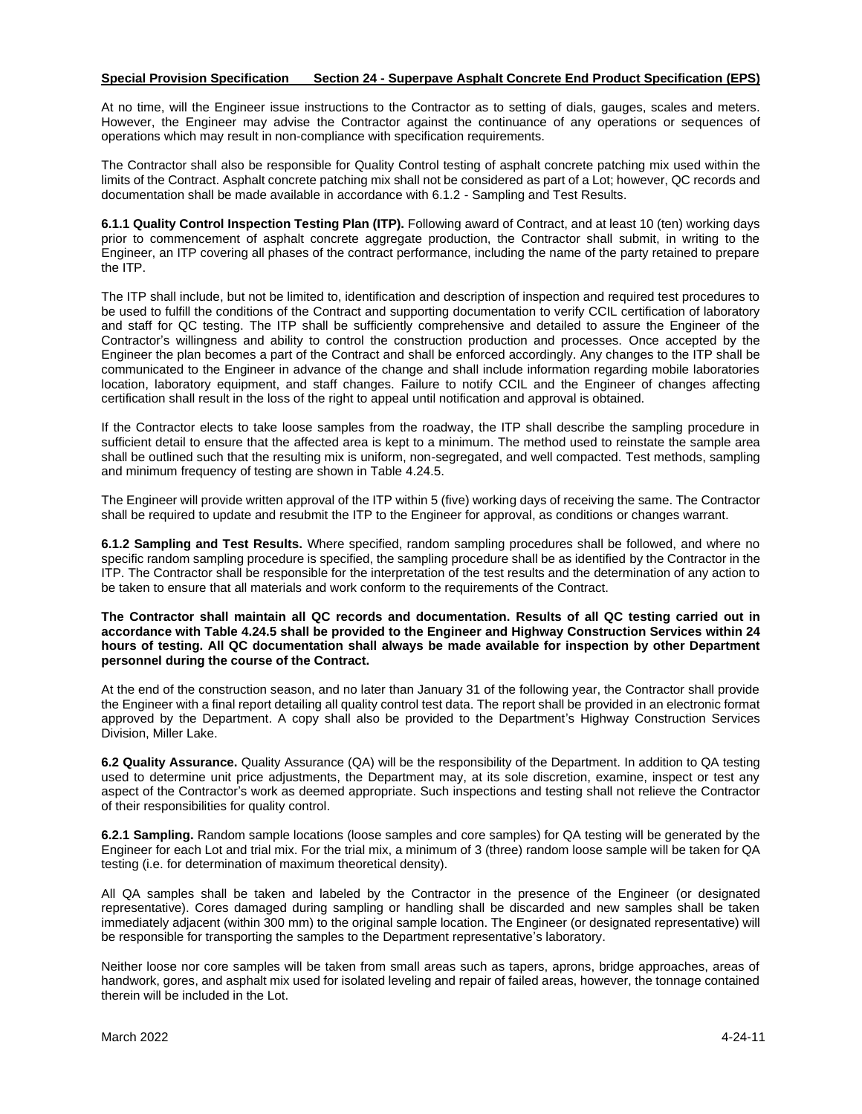At no time, will the Engineer issue instructions to the Contractor as to setting of dials, gauges, scales and meters. However, the Engineer may advise the Contractor against the continuance of any operations or sequences of operations which may result in non-compliance with specification requirements.

The Contractor shall also be responsible for Quality Control testing of asphalt concrete patching mix used within the limits of the Contract. Asphalt concrete patching mix shall not be considered as part of a Lot; however, QC records and documentation shall be made available in accordance with 6.1.2 - Sampling and Test Results.

**6.1.1 Quality Control Inspection Testing Plan (ITP).** Following award of Contract, and at least 10 (ten) working days prior to commencement of asphalt concrete aggregate production, the Contractor shall submit, in writing to the Engineer, an ITP covering all phases of the contract performance, including the name of the party retained to prepare the ITP.

The ITP shall include, but not be limited to, identification and description of inspection and required test procedures to be used to fulfill the conditions of the Contract and supporting documentation to verify CCIL certification of laboratory and staff for QC testing. The ITP shall be sufficiently comprehensive and detailed to assure the Engineer of the Contractor's willingness and ability to control the construction production and processes. Once accepted by the Engineer the plan becomes a part of the Contract and shall be enforced accordingly. Any changes to the ITP shall be communicated to the Engineer in advance of the change and shall include information regarding mobile laboratories location, laboratory equipment, and staff changes. Failure to notify CCIL and the Engineer of changes affecting certification shall result in the loss of the right to appeal until notification and approval is obtained.

If the Contractor elects to take loose samples from the roadway, the ITP shall describe the sampling procedure in sufficient detail to ensure that the affected area is kept to a minimum. The method used to reinstate the sample area shall be outlined such that the resulting mix is uniform, non-segregated, and well compacted. Test methods, sampling and minimum frequency of testing are shown in Table 4.24.5.

The Engineer will provide written approval of the ITP within 5 (five) working days of receiving the same. The Contractor shall be required to update and resubmit the ITP to the Engineer for approval, as conditions or changes warrant.

**6.1.2 Sampling and Test Results.** Where specified, random sampling procedures shall be followed, and where no specific random sampling procedure is specified, the sampling procedure shall be as identified by the Contractor in the ITP. The Contractor shall be responsible for the interpretation of the test results and the determination of any action to be taken to ensure that all materials and work conform to the requirements of the Contract.

**The Contractor shall maintain all QC records and documentation. Results of all QC testing carried out in accordance with Table 4.24.5 shall be provided to the Engineer and Highway Construction Services within 24 hours of testing. All QC documentation shall always be made available for inspection by other Department personnel during the course of the Contract.**

At the end of the construction season, and no later than January 31 of the following year, the Contractor shall provide the Engineer with a final report detailing all quality control test data. The report shall be provided in an electronic format approved by the Department. A copy shall also be provided to the Department's Highway Construction Services Division, Miller Lake.

**6.2 Quality Assurance.** Quality Assurance (QA) will be the responsibility of the Department. In addition to QA testing used to determine unit price adjustments, the Department may, at its sole discretion, examine, inspect or test any aspect of the Contractor's work as deemed appropriate. Such inspections and testing shall not relieve the Contractor of their responsibilities for quality control.

**6.2.1 Sampling.** Random sample locations (loose samples and core samples) for QA testing will be generated by the Engineer for each Lot and trial mix. For the trial mix, a minimum of 3 (three) random loose sample will be taken for QA testing (i.e. for determination of maximum theoretical density).

All QA samples shall be taken and labeled by the Contractor in the presence of the Engineer (or designated representative). Cores damaged during sampling or handling shall be discarded and new samples shall be taken immediately adjacent (within 300 mm) to the original sample location. The Engineer (or designated representative) will be responsible for transporting the samples to the Department representative's laboratory.

Neither loose nor core samples will be taken from small areas such as tapers, aprons, bridge approaches, areas of handwork, gores, and asphalt mix used for isolated leveling and repair of failed areas, however, the tonnage contained therein will be included in the Lot.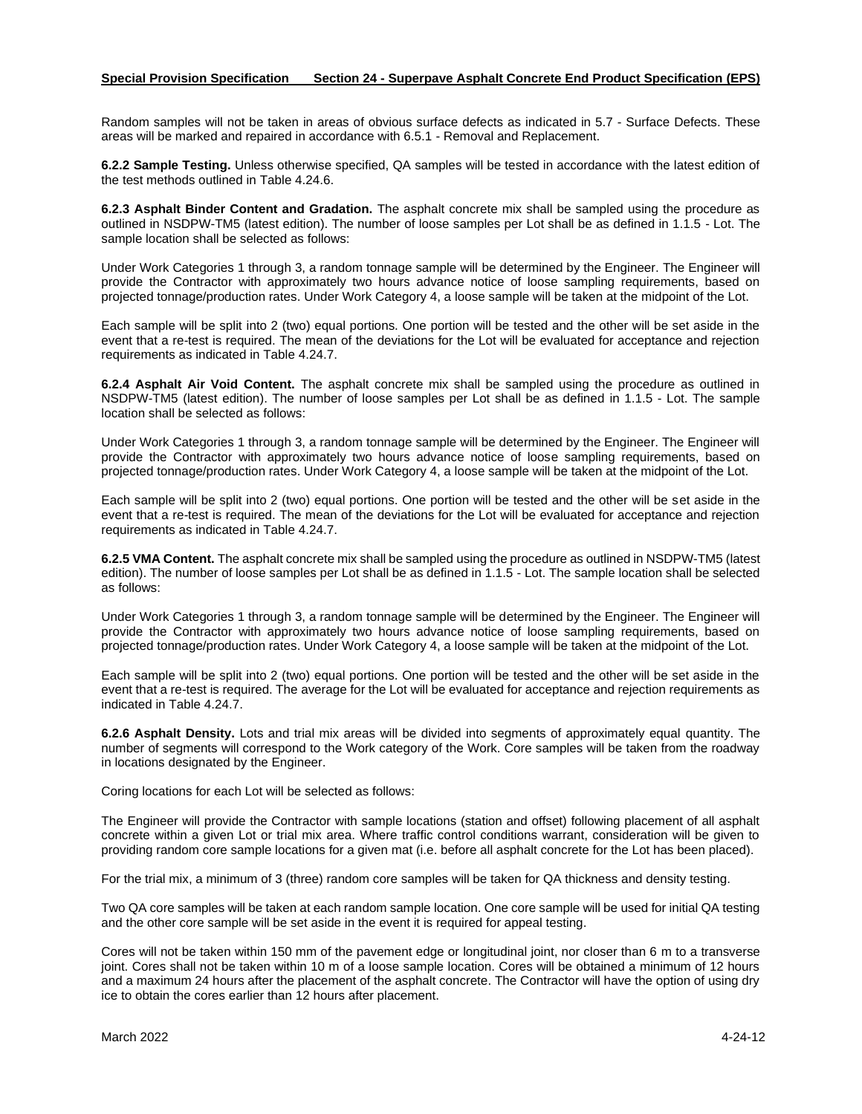Random samples will not be taken in areas of obvious surface defects as indicated in 5.7 - Surface Defects. These areas will be marked and repaired in accordance with 6.5.1 - Removal and Replacement.

**6.2.2 Sample Testing.** Unless otherwise specified, QA samples will be tested in accordance with the latest edition of the test methods outlined in Table 4.24.6.

**6.2.3 Asphalt Binder Content and Gradation.** The asphalt concrete mix shall be sampled using the procedure as outlined in NSDPW-TM5 (latest edition). The number of loose samples per Lot shall be as defined in 1.1.5 - Lot. The sample location shall be selected as follows:

Under Work Categories 1 through 3, a random tonnage sample will be determined by the Engineer. The Engineer will provide the Contractor with approximately two hours advance notice of loose sampling requirements, based on projected tonnage/production rates. Under Work Category 4, a loose sample will be taken at the midpoint of the Lot.

Each sample will be split into 2 (two) equal portions. One portion will be tested and the other will be set aside in the event that a re-test is required. The mean of the deviations for the Lot will be evaluated for acceptance and rejection requirements as indicated in Table 4.24.7.

**6.2.4 Asphalt Air Void Content.** The asphalt concrete mix shall be sampled using the procedure as outlined in NSDPW-TM5 (latest edition). The number of loose samples per Lot shall be as defined in 1.1.5 - Lot. The sample location shall be selected as follows:

Under Work Categories 1 through 3, a random tonnage sample will be determined by the Engineer. The Engineer will provide the Contractor with approximately two hours advance notice of loose sampling requirements, based on projected tonnage/production rates. Under Work Category 4, a loose sample will be taken at the midpoint of the Lot.

Each sample will be split into 2 (two) equal portions. One portion will be tested and the other will be set aside in the event that a re-test is required. The mean of the deviations for the Lot will be evaluated for acceptance and rejection requirements as indicated in Table 4.24.7.

**6.2.5 VMA Content.** The asphalt concrete mix shall be sampled using the procedure as outlined in NSDPW-TM5 (latest edition). The number of loose samples per Lot shall be as defined in 1.1.5 - Lot. The sample location shall be selected as follows:

Under Work Categories 1 through 3, a random tonnage sample will be determined by the Engineer. The Engineer will provide the Contractor with approximately two hours advance notice of loose sampling requirements, based on projected tonnage/production rates. Under Work Category 4, a loose sample will be taken at the midpoint of the Lot.

Each sample will be split into 2 (two) equal portions. One portion will be tested and the other will be set aside in the event that a re-test is required. The average for the Lot will be evaluated for acceptance and rejection requirements as indicated in Table 4.24.7.

**6.2.6 Asphalt Density.** Lots and trial mix areas will be divided into segments of approximately equal quantity. The number of segments will correspond to the Work category of the Work. Core samples will be taken from the roadway in locations designated by the Engineer.

Coring locations for each Lot will be selected as follows:

The Engineer will provide the Contractor with sample locations (station and offset) following placement of all asphalt concrete within a given Lot or trial mix area. Where traffic control conditions warrant, consideration will be given to providing random core sample locations for a given mat (i.e. before all asphalt concrete for the Lot has been placed).

For the trial mix, a minimum of 3 (three) random core samples will be taken for QA thickness and density testing.

Two QA core samples will be taken at each random sample location. One core sample will be used for initial QA testing and the other core sample will be set aside in the event it is required for appeal testing.

Cores will not be taken within 150 mm of the pavement edge or longitudinal joint, nor closer than 6 m to a transverse joint. Cores shall not be taken within 10 m of a loose sample location. Cores will be obtained a minimum of 12 hours and a maximum 24 hours after the placement of the asphalt concrete. The Contractor will have the option of using dry ice to obtain the cores earlier than 12 hours after placement.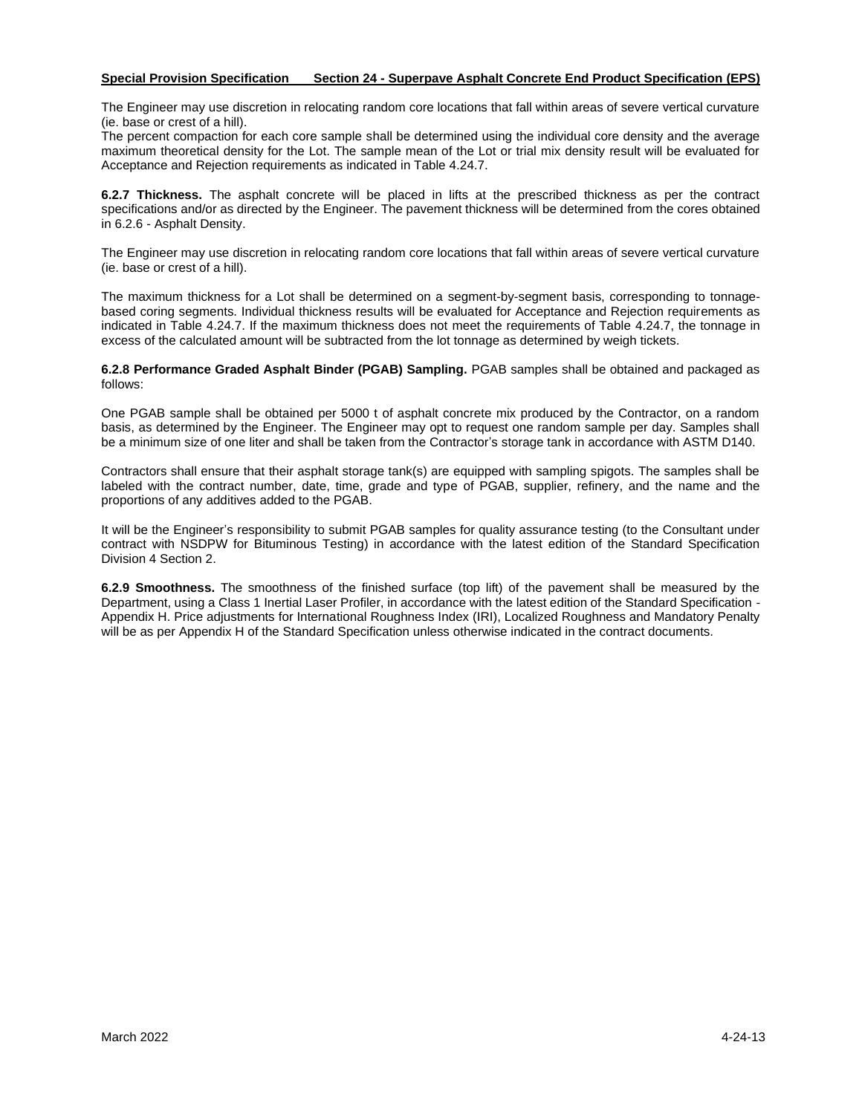The Engineer may use discretion in relocating random core locations that fall within areas of severe vertical curvature (ie. base or crest of a hill).

The percent compaction for each core sample shall be determined using the individual core density and the average maximum theoretical density for the Lot. The sample mean of the Lot or trial mix density result will be evaluated for Acceptance and Rejection requirements as indicated in Table 4.24.7.

**6.2.7 Thickness.** The asphalt concrete will be placed in lifts at the prescribed thickness as per the contract specifications and/or as directed by the Engineer. The pavement thickness will be determined from the cores obtained in 6.2.6 - Asphalt Density.

The Engineer may use discretion in relocating random core locations that fall within areas of severe vertical curvature (ie. base or crest of a hill).

The maximum thickness for a Lot shall be determined on a segment-by-segment basis, corresponding to tonnagebased coring segments. Individual thickness results will be evaluated for Acceptance and Rejection requirements as indicated in Table 4.24.7. If the maximum thickness does not meet the requirements of Table 4.24.7, the tonnage in excess of the calculated amount will be subtracted from the lot tonnage as determined by weigh tickets.

**6.2.8 Performance Graded Asphalt Binder (PGAB) Sampling.** PGAB samples shall be obtained and packaged as follows:

One PGAB sample shall be obtained per 5000 t of asphalt concrete mix produced by the Contractor, on a random basis, as determined by the Engineer. The Engineer may opt to request one random sample per day. Samples shall be a minimum size of one liter and shall be taken from the Contractor's storage tank in accordance with ASTM D140.

Contractors shall ensure that their asphalt storage tank(s) are equipped with sampling spigots. The samples shall be labeled with the contract number, date, time, grade and type of PGAB, supplier, refinery, and the name and the proportions of any additives added to the PGAB.

It will be the Engineer's responsibility to submit PGAB samples for quality assurance testing (to the Consultant under contract with NSDPW for Bituminous Testing) in accordance with the latest edition of the Standard Specification Division 4 Section 2.

**6.2.9 Smoothness.** The smoothness of the finished surface (top lift) of the pavement shall be measured by the Department, using a Class 1 Inertial Laser Profiler, in accordance with the latest edition of the Standard Specification - Appendix H. Price adjustments for International Roughness Index (IRI), Localized Roughness and Mandatory Penalty will be as per Appendix H of the Standard Specification unless otherwise indicated in the contract documents.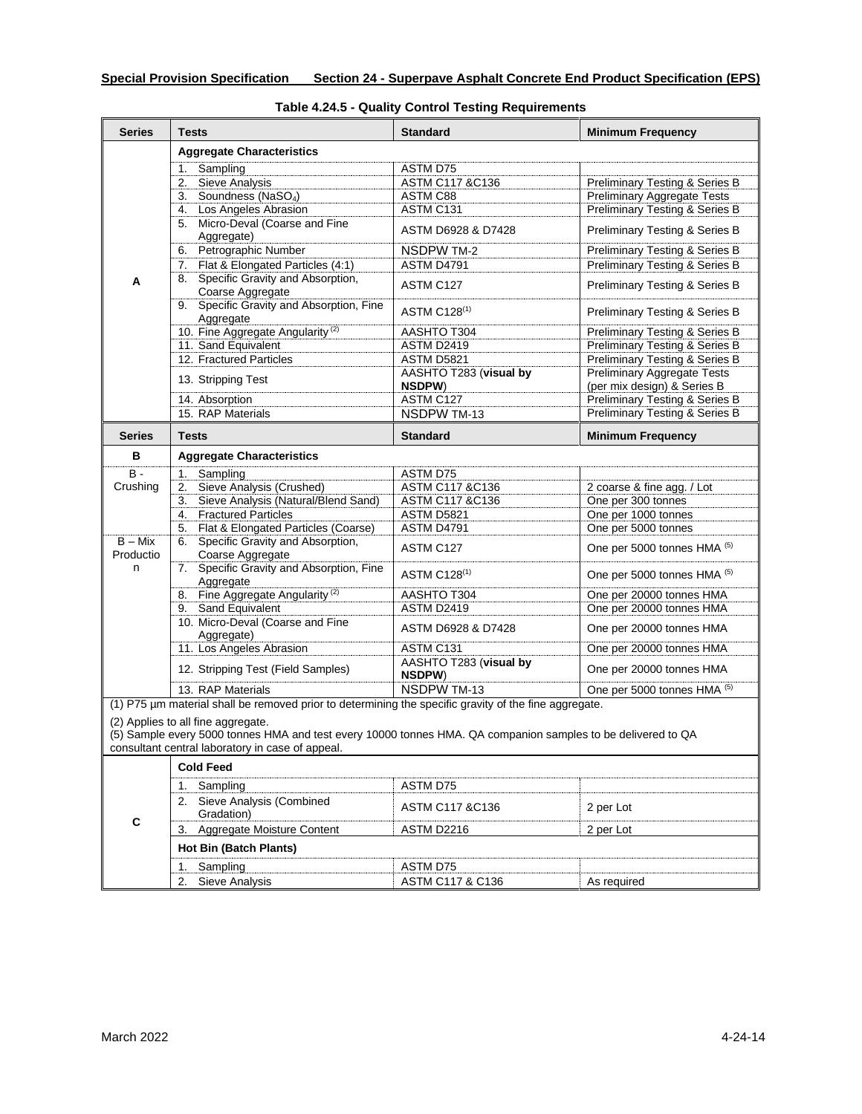| <b>Series</b>          | <b>Tests</b>                                                                                                                                                                                           | <b>Standard</b>                         | <b>Minimum Frequency</b>                                          |
|------------------------|--------------------------------------------------------------------------------------------------------------------------------------------------------------------------------------------------------|-----------------------------------------|-------------------------------------------------------------------|
|                        | <b>Aggregate Characteristics</b>                                                                                                                                                                       |                                         |                                                                   |
|                        | Sampling<br>1.                                                                                                                                                                                         | ASTM D75                                |                                                                   |
|                        | <b>Sieve Analysis</b><br>2.                                                                                                                                                                            | ASTM C117 &C136                         | Preliminary Testing & Series B                                    |
|                        | Soundness (NaSO <sub>4</sub> )<br>3.                                                                                                                                                                   | ASTM C88                                | Preliminary Aggregate Tests                                       |
|                        | Los Angeles Abrasion<br>4.                                                                                                                                                                             | ASTM C131                               | <b>Preliminary Testing &amp; Series B</b>                         |
|                        | 5. Micro-Deval (Coarse and Fine<br>Aggregate)                                                                                                                                                          | ASTM D6928 & D7428                      | Preliminary Testing & Series B                                    |
|                        | 6. Petrographic Number                                                                                                                                                                                 | <b>NSDPW TM-2</b>                       | Preliminary Testing & Series B                                    |
|                        | Flat & Elongated Particles (4:1)<br>7.                                                                                                                                                                 | <b>ASTM D4791</b>                       | Preliminary Testing & Series B                                    |
| А                      | 8. Specific Gravity and Absorption,<br>Coarse Aggregate                                                                                                                                                | ASTM C127                               | Preliminary Testing & Series B                                    |
|                        | 9. Specific Gravity and Absorption, Fine<br>Aggregate                                                                                                                                                  | ASTM C128 <sup>(1)</sup>                | Preliminary Testing & Series B                                    |
|                        | 10. Fine Aggregate Angularity <sup>(2)</sup>                                                                                                                                                           | AASHTO T304                             | Preliminary Testing & Series B                                    |
|                        | 11. Sand Equivalent                                                                                                                                                                                    | <b>ASTM D2419</b>                       | Preliminary Testing & Series B                                    |
|                        | 12. Fractured Particles                                                                                                                                                                                | <b>ASTM D5821</b>                       | <b>Preliminary Testing &amp; Series B</b>                         |
|                        | 13. Stripping Test                                                                                                                                                                                     | AASHTO T283 (visual by<br><b>NSDPW)</b> | <b>Preliminary Aggregate Tests</b><br>(per mix design) & Series B |
|                        | 14. Absorption                                                                                                                                                                                         | ASTM C127                               | <b>Preliminary Testing &amp; Series B</b>                         |
|                        | 15. RAP Materials                                                                                                                                                                                      | <b>NSDPW TM-13</b>                      | Preliminary Testing & Series B                                    |
| <b>Series</b>          | <b>Tests</b>                                                                                                                                                                                           | <b>Standard</b>                         | <b>Minimum Frequency</b>                                          |
| в                      | <b>Aggregate Characteristics</b>                                                                                                                                                                       |                                         |                                                                   |
| $B -$                  | 1.<br>Sampling                                                                                                                                                                                         | ASTM D75                                |                                                                   |
| Crushing               | Sieve Analysis (Crushed)<br>2.                                                                                                                                                                         | ASTM C117 &C136                         | 2 coarse & fine agg. / Lot                                        |
|                        | Sieve Analysis (Natural/Blend Sand)<br>3.                                                                                                                                                              | ASTM C117 &C136                         | One per 300 tonnes                                                |
|                        | <b>Fractured Particles</b><br>4.                                                                                                                                                                       | <b>ASTM D5821</b>                       | One per 1000 tonnes                                               |
|                        | Flat & Elongated Particles (Coarse)<br>5.                                                                                                                                                              | ASTM D4791                              | One per 5000 tonnes                                               |
| $B - Mix$<br>Productio | Specific Gravity and Absorption,<br>6.<br>Coarse Aggregate                                                                                                                                             | ASTM C127                               | One per 5000 tonnes HMA (5)                                       |
| n                      | 7. Specific Gravity and Absorption, Fine<br>Aggregate                                                                                                                                                  | ASTM C128 <sup>(1)</sup>                | One per 5000 tonnes HMA (5)                                       |
|                        | Fine Aggregate Angularity <sup>(2)</sup><br>8.                                                                                                                                                         | AASHTO T304                             | One per 20000 tonnes HMA                                          |
|                        | Sand Equivalent<br>9.                                                                                                                                                                                  | <b>ASTM D2419</b>                       | One per 20000 tonnes HMA                                          |
|                        | 10. Micro-Deval (Coarse and Fine<br>Aggregate)                                                                                                                                                         | ASTM D6928 & D7428                      | One per 20000 tonnes HMA                                          |
|                        | 11. Los Angeles Abrasion                                                                                                                                                                               | ASTM C131                               | One per 20000 tonnes HMA                                          |
|                        | 12. Stripping Test (Field Samples)                                                                                                                                                                     | AASHTO T283 (visual by<br>NSDPW)        | One per 20000 tonnes HMA                                          |
|                        | 13. RAP Materials                                                                                                                                                                                      | <b>NSDPW TM-13</b>                      | One per 5000 tonnes HMA (5)                                       |
|                        | (1) P75 µm material shall be removed prior to determining the specific gravity of the fine aggregate.                                                                                                  |                                         |                                                                   |
|                        | (2) Applies to all fine aggregate.<br>(5) Sample every 5000 tonnes HMA and test every 10000 tonnes HMA. QA companion samples to be delivered to QA<br>consultant central laboratory in case of appeal. |                                         |                                                                   |
|                        | <b>Cold Feed</b>                                                                                                                                                                                       |                                         |                                                                   |
|                        | Sampling<br>1.                                                                                                                                                                                         | ASTM D75                                |                                                                   |
|                        | 2. Sieve Analysis (Combined                                                                                                                                                                            |                                         |                                                                   |
| C                      | Gradation)                                                                                                                                                                                             | ASTM C117 &C136                         | 2 per Lot                                                         |
|                        | Aggregate Moisture Content<br>3.                                                                                                                                                                       | ASTM D2216                              | 2 per Lot                                                         |
|                        | <b>Hot Bin (Batch Plants)</b>                                                                                                                                                                          |                                         |                                                                   |
|                        | Sampling<br>1.                                                                                                                                                                                         | ASTM D75                                |                                                                   |
|                        | Sieve Analysis<br>2.                                                                                                                                                                                   | ASTM C117 & C136                        | As required                                                       |

# **Table 4.24.5 - Quality Control Testing Requirements**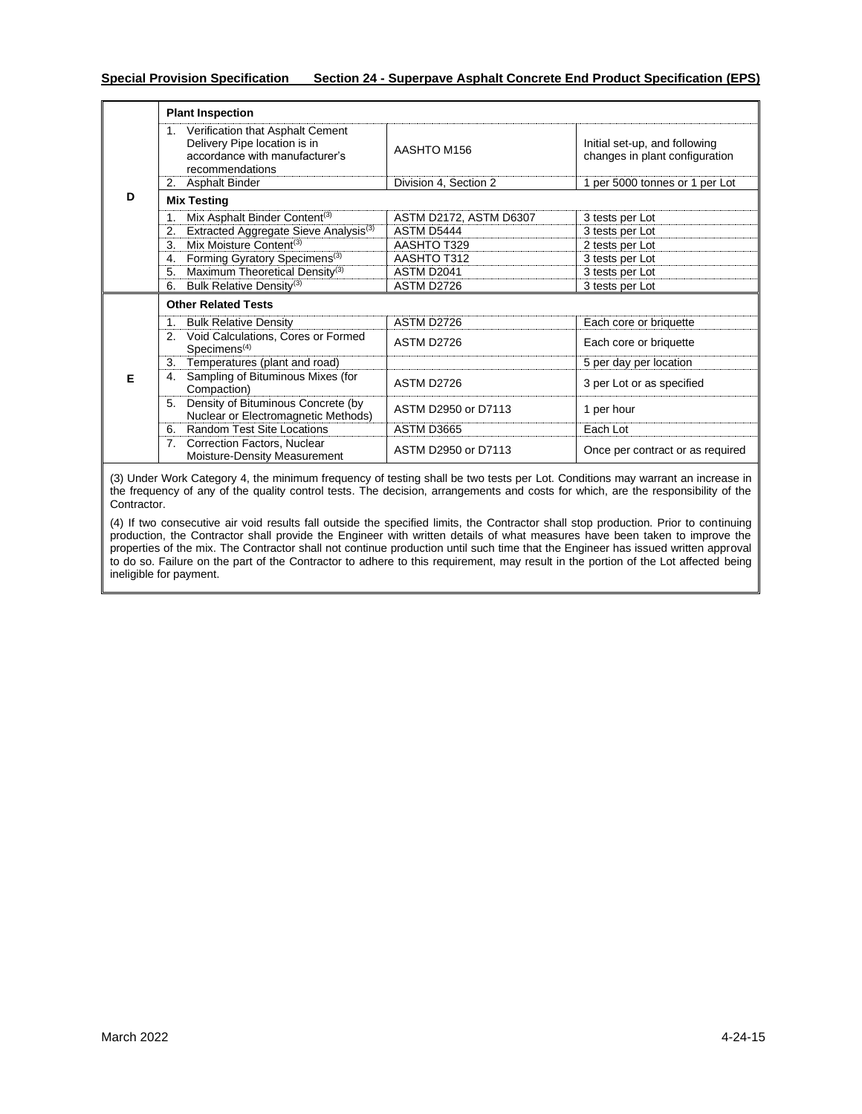|   | <b>Plant Inspection</b>                                                                                                  |                        |                                                                 |
|---|--------------------------------------------------------------------------------------------------------------------------|------------------------|-----------------------------------------------------------------|
|   | 1. Verification that Asphalt Cement<br>Delivery Pipe location is in<br>accordance with manufacturer's<br>recommendations | AASHTO M156            | Initial set-up, and following<br>changes in plant configuration |
|   | 2. Asphalt Binder                                                                                                        | Division 4, Section 2  | 1 per 5000 tonnes or 1 per Lot                                  |
| D | <b>Mix Testing</b>                                                                                                       |                        |                                                                 |
|   | Mix Asphalt Binder Content <sup>(3)</sup>                                                                                | ASTM D2172, ASTM D6307 | 3 tests per Lot                                                 |
|   | Extracted Aggregate Sieve Analysis <sup>(3)</sup>                                                                        | ASTM D5444             | 3 tests per Lot                                                 |
|   | Mix Moisture Content <sup>(3)</sup><br>3.                                                                                | AASHTO T329            | 2 tests per Lot                                                 |
|   | Forming Gyratory Specimens <sup>(3)</sup><br>4.                                                                          | AASHTO T312            | 3 tests per Lot                                                 |
|   | Maximum Theoretical Density <sup>(3)</sup><br>5.                                                                         | ASTM D2041             | 3 tests per Lot                                                 |
|   | Bulk Relative Density <sup>(3)</sup>                                                                                     | ASTM D2726             | 3 tests per Lot                                                 |
|   | <b>Other Related Tests</b>                                                                                               |                        |                                                                 |
|   | 1. Bulk Relative Density                                                                                                 | ASTM D2726             | Each core or briquette                                          |
|   | Void Calculations, Cores or Formed<br>2.<br>Specimens <sup>(4)</sup>                                                     | ASTM D2726             | Each core or briquette                                          |
|   | Temperatures (plant and road)<br>3.                                                                                      |                        | 5 per day per location                                          |
| F | Sampling of Bituminous Mixes (for<br>4.<br>Compaction)                                                                   | ASTM D2726             | 3 per Lot or as specified                                       |
|   | Density of Bituminous Concrete (by<br>5.<br>Nuclear or Electromagnetic Methods)                                          | ASTM D2950 or D7113    | 1 per hour                                                      |
|   | Random Test Site Locations<br>6.                                                                                         | <b>ASTM D3665</b>      | Each Lot                                                        |
|   | Correction Factors, Nuclear<br>7.<br>Moisture-Density Measurement                                                        | ASTM D2950 or D7113    | Once per contract or as required                                |

(3) Under Work Category 4, the minimum frequency of testing shall be two tests per Lot. Conditions may warrant an increase in the frequency of any of the quality control tests. The decision, arrangements and costs for which, are the responsibility of the Contractor.

(4) If two consecutive air void results fall outside the specified limits, the Contractor shall stop production. Prior to continuing production, the Contractor shall provide the Engineer with written details of what measures have been taken to improve the properties of the mix. The Contractor shall not continue production until such time that the Engineer has issued written approval to do so. Failure on the part of the Contractor to adhere to this requirement, may result in the portion of the Lot affected being ineligible for payment.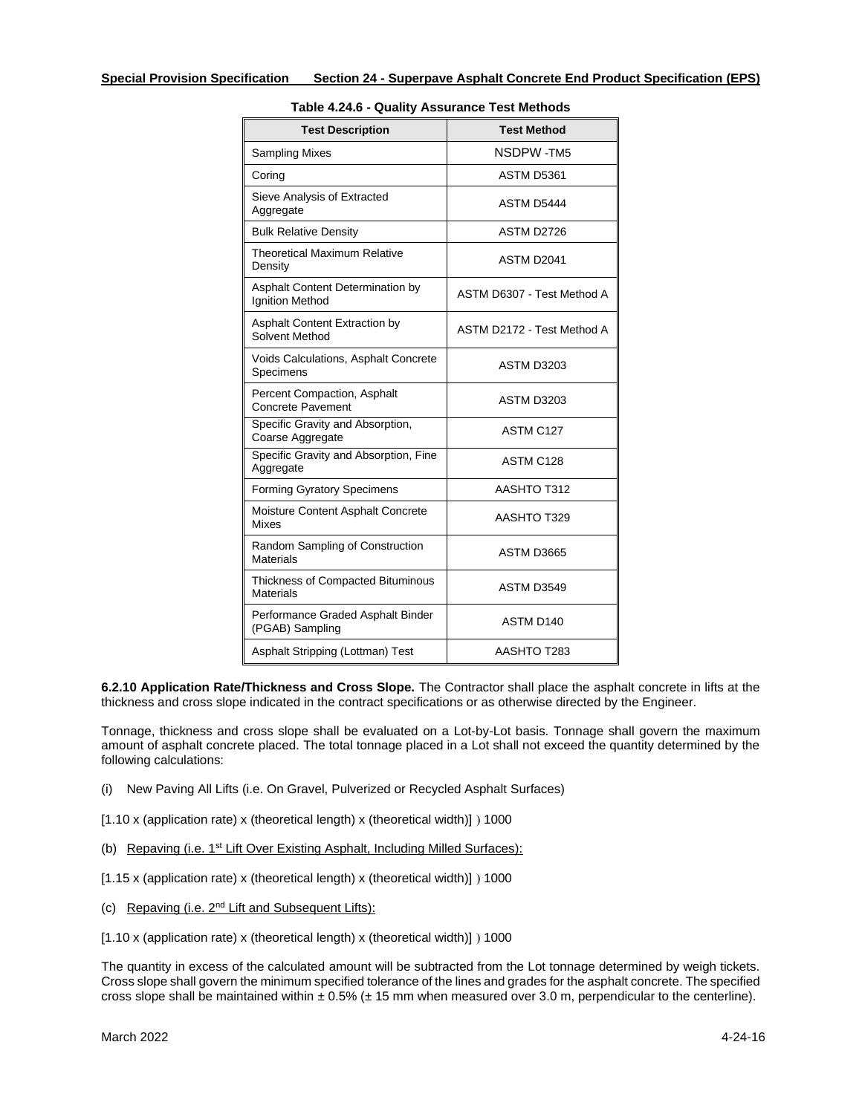| <b>Test Description</b>                                      | <b>Test Method</b>         |
|--------------------------------------------------------------|----------------------------|
| <b>Sampling Mixes</b>                                        | <b>NSDPW-TM5</b>           |
| Coring                                                       | <b>ASTM D5361</b>          |
| Sieve Analysis of Extracted<br>Aggregate                     | ASTM D5444                 |
| <b>Bulk Relative Density</b>                                 | ASTM D2726                 |
| <b>Theoretical Maximum Relative</b><br>Density               | ASTM D2041                 |
| Asphalt Content Determination by<br>Ignition Method          | ASTM D6307 - Test Method A |
| <b>Asphalt Content Extraction by</b><br>Solvent Method       | ASTM D2172 - Test Method A |
| Voids Calculations, Asphalt Concrete<br>Specimens            | <b>ASTM D3203</b>          |
| Percent Compaction, Asphalt<br><b>Concrete Pavement</b>      | <b>ASTM D3203</b>          |
| Specific Gravity and Absorption,<br>Coarse Aggregate         | ASTM C127                  |
| Specific Gravity and Absorption, Fine<br>Aggregate           | ASTM C128                  |
| <b>Forming Gyratory Specimens</b>                            | AASHTO T312                |
| Moisture Content Asphalt Concrete<br><b>Mixes</b>            | AASHTO T329                |
| Random Sampling of Construction<br><b>Materials</b>          | ASTM D3665                 |
| <b>Thickness of Compacted Bituminous</b><br><b>Materials</b> | ASTM D3549                 |
| Performance Graded Asphalt Binder<br>(PGAB) Sampling         | ASTM D140                  |
| Asphalt Stripping (Lottman) Test                             | AASHTO T283                |

**6.2.10 Application Rate/Thickness and Cross Slope.** The Contractor shall place the asphalt concrete in lifts at the thickness and cross slope indicated in the contract specifications or as otherwise directed by the Engineer.

Tonnage, thickness and cross slope shall be evaluated on a Lot-by-Lot basis. Tonnage shall govern the maximum amount of asphalt concrete placed. The total tonnage placed in a Lot shall not exceed the quantity determined by the following calculations:

- (i) New Paving All Lifts (i.e. On Gravel, Pulverized or Recycled Asphalt Surfaces)
- [1.10 x (application rate) x (theoretical length) x (theoretical width)] ) 1000
- (b) Repaving (i.e. 1<sup>st</sup> Lift Over Existing Asphalt, Including Milled Surfaces):
- [1.15 x (application rate) x (theoretical length) x (theoretical width)] ) 1000
- (c) Repaving (i.e. 2nd Lift and Subsequent Lifts):
- $[1.10 \times (application\ rate) \times (theoretical\ length) \times (theoretical\ width)]$ ) 1000

The quantity in excess of the calculated amount will be subtracted from the Lot tonnage determined by weigh tickets. Cross slope shall govern the minimum specified tolerance of the lines and grades for the asphalt concrete. The specified cross slope shall be maintained within  $\pm 0.5\%$  ( $\pm 15$  mm when measured over 3.0 m, perpendicular to the centerline).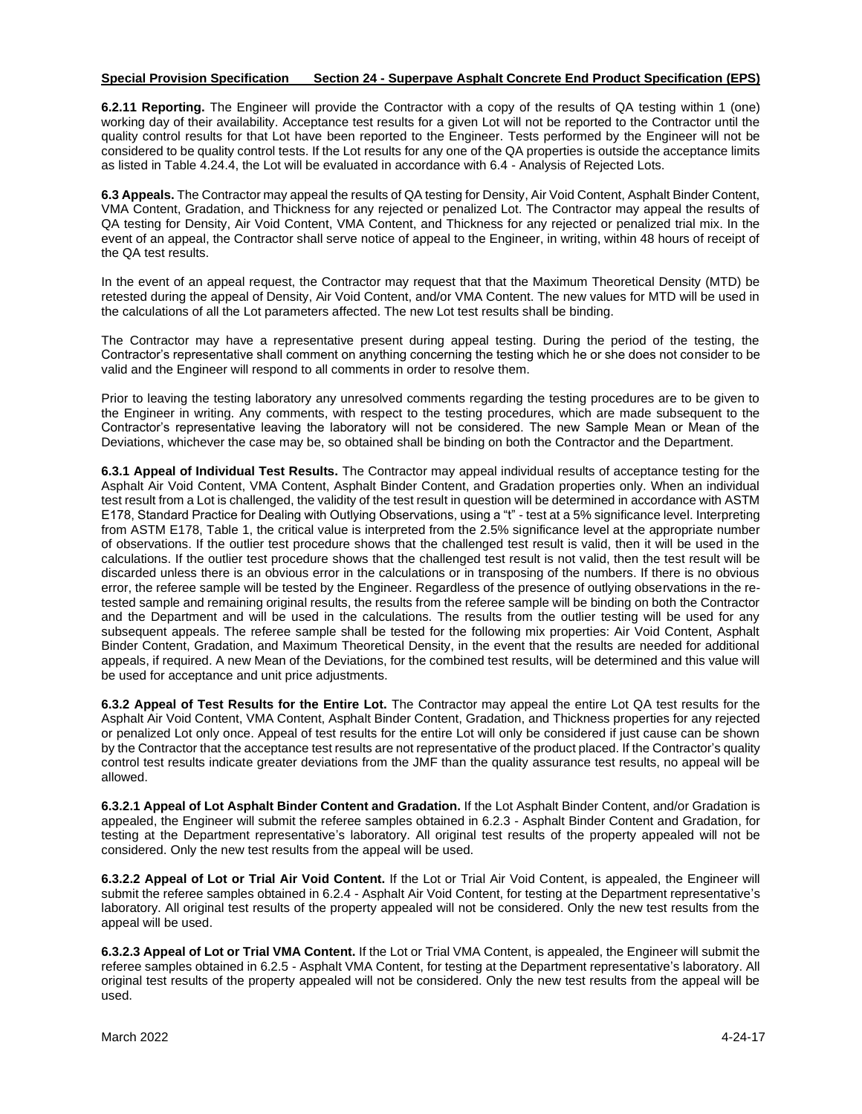**6.2.11 Reporting.** The Engineer will provide the Contractor with a copy of the results of QA testing within 1 (one) working day of their availability. Acceptance test results for a given Lot will not be reported to the Contractor until the quality control results for that Lot have been reported to the Engineer. Tests performed by the Engineer will not be considered to be quality control tests. If the Lot results for any one of the QA properties is outside the acceptance limits as listed in Table 4.24.4, the Lot will be evaluated in accordance with 6.4 - Analysis of Rejected Lots.

**6.3 Appeals.** The Contractor may appeal the results of QA testing for Density, Air Void Content, Asphalt Binder Content, VMA Content, Gradation, and Thickness for any rejected or penalized Lot. The Contractor may appeal the results of QA testing for Density, Air Void Content, VMA Content, and Thickness for any rejected or penalized trial mix. In the event of an appeal, the Contractor shall serve notice of appeal to the Engineer, in writing, within 48 hours of receipt of the QA test results.

In the event of an appeal request, the Contractor may request that that the Maximum Theoretical Density (MTD) be retested during the appeal of Density, Air Void Content, and/or VMA Content. The new values for MTD will be used in the calculations of all the Lot parameters affected. The new Lot test results shall be binding.

The Contractor may have a representative present during appeal testing. During the period of the testing, the Contractor's representative shall comment on anything concerning the testing which he or she does not consider to be valid and the Engineer will respond to all comments in order to resolve them.

Prior to leaving the testing laboratory any unresolved comments regarding the testing procedures are to be given to the Engineer in writing. Any comments, with respect to the testing procedures, which are made subsequent to the Contractor's representative leaving the laboratory will not be considered. The new Sample Mean or Mean of the Deviations, whichever the case may be, so obtained shall be binding on both the Contractor and the Department.

**6.3.1 Appeal of Individual Test Results.** The Contractor may appeal individual results of acceptance testing for the Asphalt Air Void Content, VMA Content, Asphalt Binder Content, and Gradation properties only. When an individual test result from a Lot is challenged, the validity of the test result in question will be determined in accordance with ASTM E178, Standard Practice for Dealing with Outlying Observations, using a "t" - test at a 5% significance level. Interpreting from ASTM E178, Table 1, the critical value is interpreted from the 2.5% significance level at the appropriate number of observations. If the outlier test procedure shows that the challenged test result is valid, then it will be used in the calculations. If the outlier test procedure shows that the challenged test result is not valid, then the test result will be discarded unless there is an obvious error in the calculations or in transposing of the numbers. If there is no obvious error, the referee sample will be tested by the Engineer. Regardless of the presence of outlying observations in the retested sample and remaining original results, the results from the referee sample will be binding on both the Contractor and the Department and will be used in the calculations. The results from the outlier testing will be used for any subsequent appeals. The referee sample shall be tested for the following mix properties: Air Void Content, Asphalt Binder Content, Gradation, and Maximum Theoretical Density, in the event that the results are needed for additional appeals, if required. A new Mean of the Deviations, for the combined test results, will be determined and this value will be used for acceptance and unit price adjustments.

**6.3.2 Appeal of Test Results for the Entire Lot.** The Contractor may appeal the entire Lot QA test results for the Asphalt Air Void Content, VMA Content, Asphalt Binder Content, Gradation, and Thickness properties for any rejected or penalized Lot only once. Appeal of test results for the entire Lot will only be considered if just cause can be shown by the Contractor that the acceptance test results are not representative of the product placed. If the Contractor's quality control test results indicate greater deviations from the JMF than the quality assurance test results, no appeal will be allowed.

**6.3.2.1 Appeal of Lot Asphalt Binder Content and Gradation.** If the Lot Asphalt Binder Content, and/or Gradation is appealed, the Engineer will submit the referee samples obtained in 6.2.3 - Asphalt Binder Content and Gradation, for testing at the Department representative's laboratory. All original test results of the property appealed will not be considered. Only the new test results from the appeal will be used.

**6.3.2.2 Appeal of Lot or Trial Air Void Content.** If the Lot or Trial Air Void Content, is appealed, the Engineer will submit the referee samples obtained in 6.2.4 - Asphalt Air Void Content, for testing at the Department representative's laboratory. All original test results of the property appealed will not be considered. Only the new test results from the appeal will be used.

**6.3.2.3 Appeal of Lot or Trial VMA Content.** If the Lot or Trial VMA Content, is appealed, the Engineer will submit the referee samples obtained in 6.2.5 - Asphalt VMA Content, for testing at the Department representative's laboratory. All original test results of the property appealed will not be considered. Only the new test results from the appeal will be used.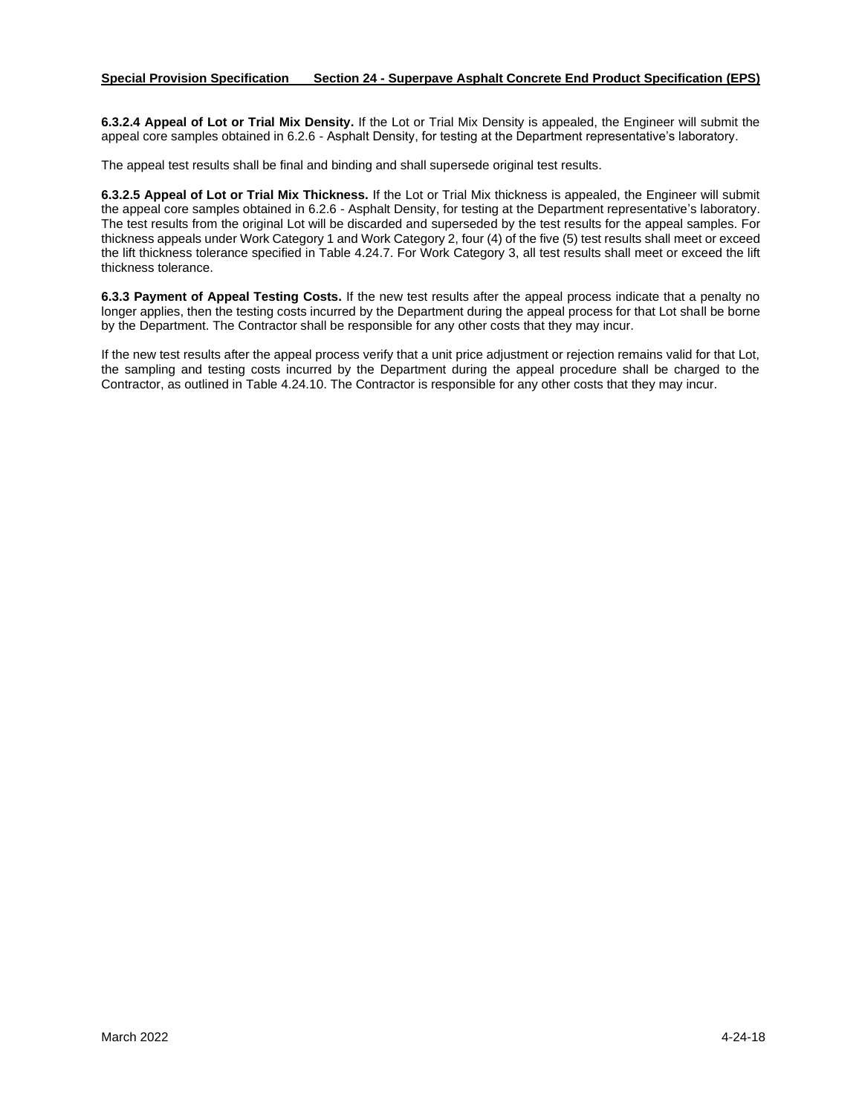**6.3.2.4 Appeal of Lot or Trial Mix Density.** If the Lot or Trial Mix Density is appealed, the Engineer will submit the appeal core samples obtained in 6.2.6 - Asphalt Density, for testing at the Department representative's laboratory.

The appeal test results shall be final and binding and shall supersede original test results.

**6.3.2.5 Appeal of Lot or Trial Mix Thickness.** If the Lot or Trial Mix thickness is appealed, the Engineer will submit the appeal core samples obtained in 6.2.6 - Asphalt Density, for testing at the Department representative's laboratory. The test results from the original Lot will be discarded and superseded by the test results for the appeal samples. For thickness appeals under Work Category 1 and Work Category 2, four (4) of the five (5) test results shall meet or exceed the lift thickness tolerance specified in Table 4.24.7. For Work Category 3, all test results shall meet or exceed the lift thickness tolerance.

**6.3.3 Payment of Appeal Testing Costs.** If the new test results after the appeal process indicate that a penalty no longer applies, then the testing costs incurred by the Department during the appeal process for that Lot shall be borne by the Department. The Contractor shall be responsible for any other costs that they may incur.

If the new test results after the appeal process verify that a unit price adjustment or rejection remains valid for that Lot, the sampling and testing costs incurred by the Department during the appeal procedure shall be charged to the Contractor, as outlined in Table 4.24.10. The Contractor is responsible for any other costs that they may incur.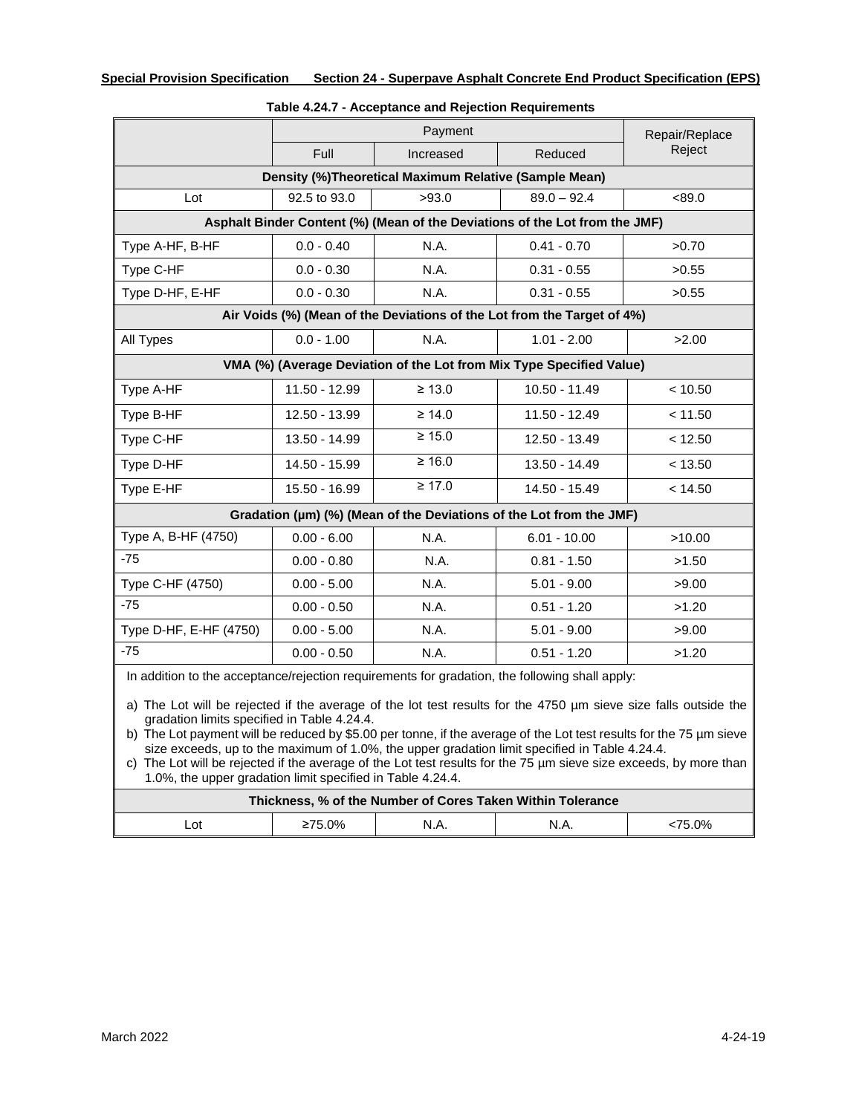|                                                                      |               | Repair/Replace                                                              |                |         |  |  |
|----------------------------------------------------------------------|---------------|-----------------------------------------------------------------------------|----------------|---------|--|--|
|                                                                      | Full          | Increased                                                                   | Reduced        | Reject  |  |  |
|                                                                      |               | Density (%)Theoretical Maximum Relative (Sample Mean)                       |                |         |  |  |
| Lot                                                                  | 92.5 to 93.0  | >93.0                                                                       | $89.0 - 92.4$  | < 89.0  |  |  |
|                                                                      |               | Asphalt Binder Content (%) (Mean of the Deviations of the Lot from the JMF) |                |         |  |  |
| Type A-HF, B-HF                                                      | $0.0 - 0.40$  | N.A.                                                                        | $0.41 - 0.70$  | >0.70   |  |  |
| Type C-HF                                                            | $0.0 - 0.30$  | N.A.                                                                        | $0.31 - 0.55$  | >0.55   |  |  |
| Type D-HF, E-HF                                                      | $0.0 - 0.30$  | N.A.                                                                        | $0.31 - 0.55$  | >0.55   |  |  |
|                                                                      |               | Air Voids (%) (Mean of the Deviations of the Lot from the Target of 4%)     |                |         |  |  |
| All Types                                                            | $0.0 - 1.00$  | N.A.                                                                        | $1.01 - 2.00$  | >2.00   |  |  |
| VMA (%) (Average Deviation of the Lot from Mix Type Specified Value) |               |                                                                             |                |         |  |  |
| Type A-HF                                                            | 11.50 - 12.99 | $\geq 13.0$                                                                 | 10.50 - 11.49  | < 10.50 |  |  |
| Type B-HF                                                            | 12.50 - 13.99 | $\geq 14.0$                                                                 | 11.50 - 12.49  | < 11.50 |  |  |
| Type C-HF                                                            | 13.50 - 14.99 | $\geq 15.0$                                                                 | 12.50 - 13.49  | < 12.50 |  |  |
| Type D-HF                                                            | 14.50 - 15.99 | $\geq 16.0$                                                                 | 13.50 - 14.49  | < 13.50 |  |  |
| Type E-HF                                                            | 15.50 - 16.99 | $\geq 17.0$                                                                 | 14.50 - 15.49  | < 14.50 |  |  |
|                                                                      |               | Gradation (µm) (%) (Mean of the Deviations of the Lot from the JMF)         |                |         |  |  |
| Type A, B-HF (4750)                                                  | $0.00 - 6.00$ | N.A.                                                                        | $6.01 - 10.00$ | >10.00  |  |  |
| $-75$                                                                | $0.00 - 0.80$ | N.A.                                                                        | $0.81 - 1.50$  | >1.50   |  |  |
| Type C-HF (4750)                                                     | $0.00 - 5.00$ | N.A.                                                                        | $5.01 - 9.00$  | >9.00   |  |  |
| $-75$                                                                | $0.00 - 0.50$ | N.A.                                                                        | $0.51 - 1.20$  | >1.20   |  |  |
| Type D-HF, E-HF (4750)                                               | $0.00 - 5.00$ | N.A.                                                                        | $5.01 - 9.00$  | >9.00   |  |  |
| $-75$                                                                | $0.00 - 0.50$ | N.A.                                                                        | $0.51 - 1.20$  | >1.20   |  |  |

# **Table 4.24.7 - Acceptance and Rejection Requirements**

a) The Lot will be rejected if the average of the lot test results for the 4750 µm sieve size falls outside the gradation limits specified in Table 4.24.4.

b) The Lot payment will be reduced by \$5.00 per tonne, if the average of the Lot test results for the 75 µm sieve size exceeds, up to the maximum of 1.0%, the upper gradation limit specified in Table 4.24.4.

c) The Lot will be rejected if the average of the Lot test results for the 75 µm sieve size exceeds, by more than 1.0%, the upper gradation limit specified in Table 4.24.4.

| Thickness, % of the Number of Cores Taken Within Tolerance |        |      |      |       |
|------------------------------------------------------------|--------|------|------|-------|
| _ot                                                        | ≥75.0% | N.A. | N.A. | 75.0% |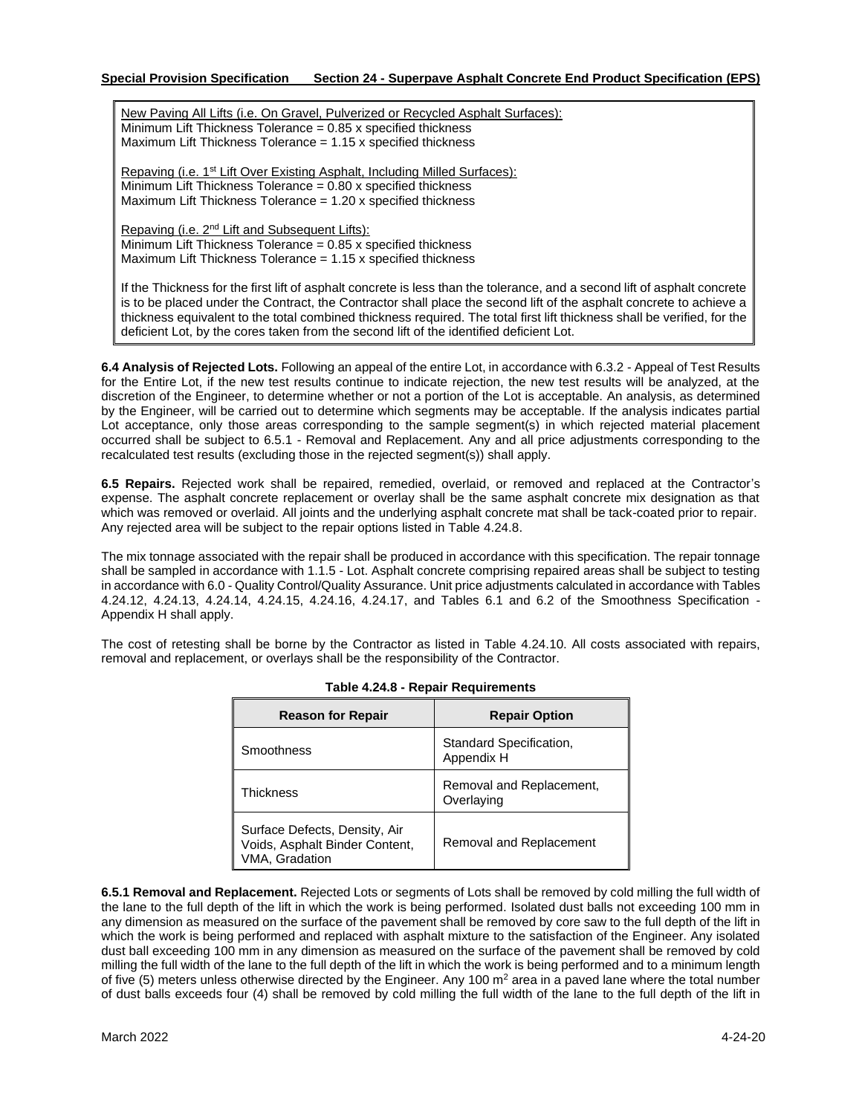New Paving All Lifts (i.e. On Gravel, Pulverized or Recycled Asphalt Surfaces): Minimum Lift Thickness Tolerance = 0.85 x specified thickness Maximum Lift Thickness Tolerance = 1.15 x specified thickness

Repaving (i.e. 1<sup>st</sup> Lift Over Existing Asphalt, Including Milled Surfaces): Minimum Lift Thickness Tolerance = 0.80 x specified thickness Maximum Lift Thickness Tolerance = 1.20 x specified thickness

Repaving (i.e. 2nd Lift and Subsequent Lifts): Minimum Lift Thickness Tolerance = 0.85 x specified thickness Maximum Lift Thickness Tolerance = 1.15 x specified thickness

If the Thickness for the first lift of asphalt concrete is less than the tolerance, and a second lift of asphalt concrete is to be placed under the Contract, the Contractor shall place the second lift of the asphalt concrete to achieve a thickness equivalent to the total combined thickness required. The total first lift thickness shall be verified, for the deficient Lot, by the cores taken from the second lift of the identified deficient Lot.

**6.4 Analysis of Rejected Lots.** Following an appeal of the entire Lot, in accordance with 6.3.2 - Appeal of Test Results for the Entire Lot, if the new test results continue to indicate rejection, the new test results will be analyzed, at the discretion of the Engineer, to determine whether or not a portion of the Lot is acceptable. An analysis, as determined by the Engineer, will be carried out to determine which segments may be acceptable. If the analysis indicates partial Lot acceptance, only those areas corresponding to the sample segment(s) in which rejected material placement occurred shall be subject to 6.5.1 - Removal and Replacement. Any and all price adjustments corresponding to the recalculated test results (excluding those in the rejected segment(s)) shall apply.

**6.5 Repairs.** Rejected work shall be repaired, remedied, overlaid, or removed and replaced at the Contractor's expense. The asphalt concrete replacement or overlay shall be the same asphalt concrete mix designation as that which was removed or overlaid. All joints and the underlying asphalt concrete mat shall be tack-coated prior to repair. Any rejected area will be subject to the repair options listed in Table 4.24.8.

The mix tonnage associated with the repair shall be produced in accordance with this specification. The repair tonnage shall be sampled in accordance with 1.1.5 - Lot. Asphalt concrete comprising repaired areas shall be subject to testing in accordance with 6.0 - Quality Control/Quality Assurance. Unit price adjustments calculated in accordance with Tables 4.24.12, 4.24.13, 4.24.14, 4.24.15, 4.24.16, 4.24.17, and Tables 6.1 and 6.2 of the Smoothness Specification - Appendix H shall apply.

The cost of retesting shall be borne by the Contractor as listed in Table 4.24.10. All costs associated with repairs, removal and replacement, or overlays shall be the responsibility of the Contractor.

| <b>Reason for Repair</b>                                                                 | <b>Repair Option</b>                   |
|------------------------------------------------------------------------------------------|----------------------------------------|
| Smoothness                                                                               | Standard Specification,<br>Appendix H  |
| <b>Thickness</b>                                                                         | Removal and Replacement,<br>Overlaying |
| Surface Defects, Density, Air<br>Voids, Asphalt Binder Content,<br><b>VMA, Gradation</b> | Removal and Replacement                |

|  |  |  | Table 4.24.8 - Repair Requirements |
|--|--|--|------------------------------------|
|--|--|--|------------------------------------|

**6.5.1 Removal and Replacement.** Rejected Lots or segments of Lots shall be removed by cold milling the full width of the lane to the full depth of the lift in which the work is being performed. Isolated dust balls not exceeding 100 mm in any dimension as measured on the surface of the pavement shall be removed by core saw to the full depth of the lift in which the work is being performed and replaced with asphalt mixture to the satisfaction of the Engineer. Any isolated dust ball exceeding 100 mm in any dimension as measured on the surface of the pavement shall be removed by cold milling the full width of the lane to the full depth of the lift in which the work is being performed and to a minimum length of five  $(5)$  meters unless otherwise directed by the Engineer. Any 100 m<sup>2</sup> area in a paved lane where the total number of dust balls exceeds four (4) shall be removed by cold milling the full width of the lane to the full depth of the lift in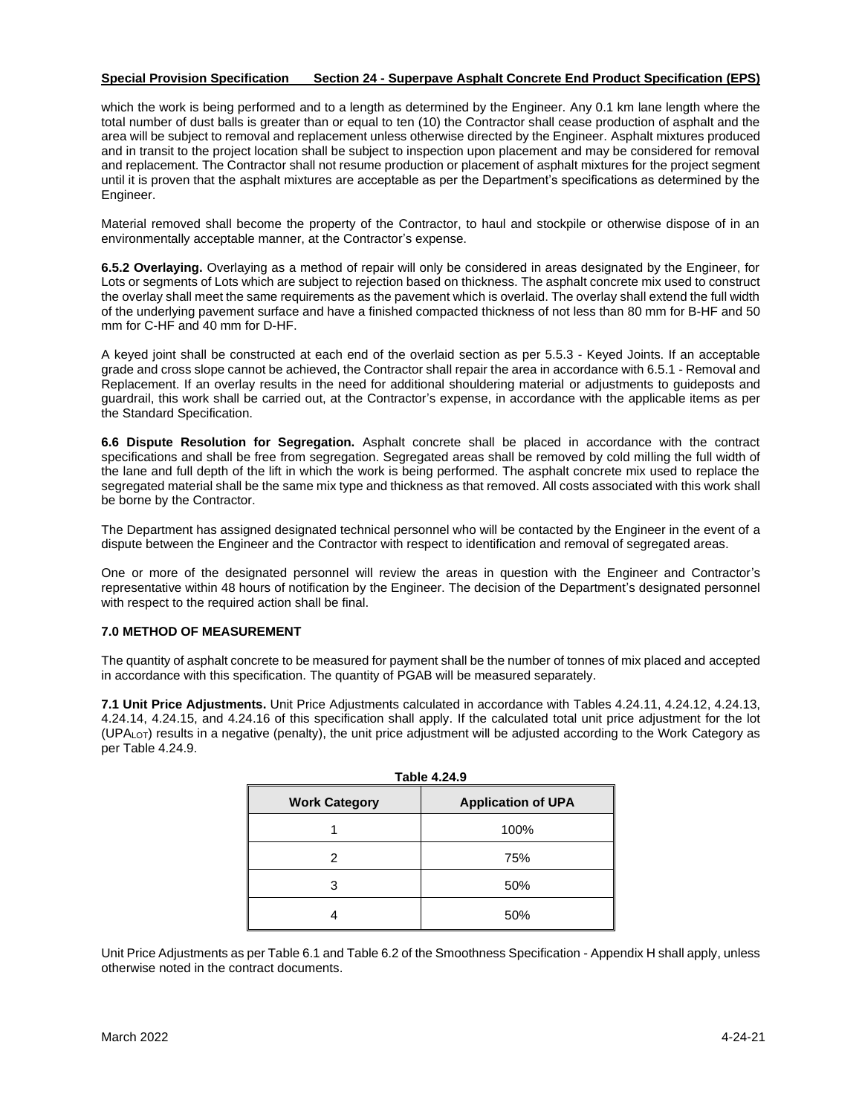which the work is being performed and to a length as determined by the Engineer. Any 0.1 km lane length where the total number of dust balls is greater than or equal to ten (10) the Contractor shall cease production of asphalt and the area will be subject to removal and replacement unless otherwise directed by the Engineer. Asphalt mixtures produced and in transit to the project location shall be subject to inspection upon placement and may be considered for removal and replacement. The Contractor shall not resume production or placement of asphalt mixtures for the project segment until it is proven that the asphalt mixtures are acceptable as per the Department's specifications as determined by the Engineer.

Material removed shall become the property of the Contractor, to haul and stockpile or otherwise dispose of in an environmentally acceptable manner, at the Contractor's expense.

**6.5.2 Overlaying.** Overlaying as a method of repair will only be considered in areas designated by the Engineer, for Lots or segments of Lots which are subject to rejection based on thickness. The asphalt concrete mix used to construct the overlay shall meet the same requirements as the pavement which is overlaid. The overlay shall extend the full width of the underlying pavement surface and have a finished compacted thickness of not less than 80 mm for B-HF and 50 mm for C-HF and 40 mm for D-HF.

A keyed joint shall be constructed at each end of the overlaid section as per 5.5.3 - Keyed Joints. If an acceptable grade and cross slope cannot be achieved, the Contractor shall repair the area in accordance with 6.5.1 - Removal and Replacement. If an overlay results in the need for additional shouldering material or adjustments to guideposts and guardrail, this work shall be carried out, at the Contractor's expense, in accordance with the applicable items as per the Standard Specification.

**6.6 Dispute Resolution for Segregation.** Asphalt concrete shall be placed in accordance with the contract specifications and shall be free from segregation. Segregated areas shall be removed by cold milling the full width of the lane and full depth of the lift in which the work is being performed. The asphalt concrete mix used to replace the segregated material shall be the same mix type and thickness as that removed. All costs associated with this work shall be borne by the Contractor.

The Department has assigned designated technical personnel who will be contacted by the Engineer in the event of a dispute between the Engineer and the Contractor with respect to identification and removal of segregated areas.

One or more of the designated personnel will review the areas in question with the Engineer and Contractor's representative within 48 hours of notification by the Engineer. The decision of the Department's designated personnel with respect to the required action shall be final.

#### **7.0 METHOD OF MEASUREMENT**

The quantity of asphalt concrete to be measured for payment shall be the number of tonnes of mix placed and accepted in accordance with this specification. The quantity of PGAB will be measured separately.

**7.1 Unit Price Adjustments.** Unit Price Adjustments calculated in accordance with Tables 4.24.11, 4.24.12, 4.24.13, 4.24.14, 4.24.15, and 4.24.16 of this specification shall apply. If the calculated total unit price adjustment for the lot (UPALOT) results in a negative (penalty), the unit price adjustment will be adjusted according to the Work Category as per Table 4.24.9.

| <b>Table 4.24.9</b>  |                           |  |  |
|----------------------|---------------------------|--|--|
| <b>Work Category</b> | <b>Application of UPA</b> |  |  |
|                      | 100%                      |  |  |
| 2                    | 75%                       |  |  |
| з                    | 50%                       |  |  |
|                      | 50%                       |  |  |

Unit Price Adjustments as per Table 6.1 and Table 6.2 of the Smoothness Specification - Appendix H shall apply, unless otherwise noted in the contract documents.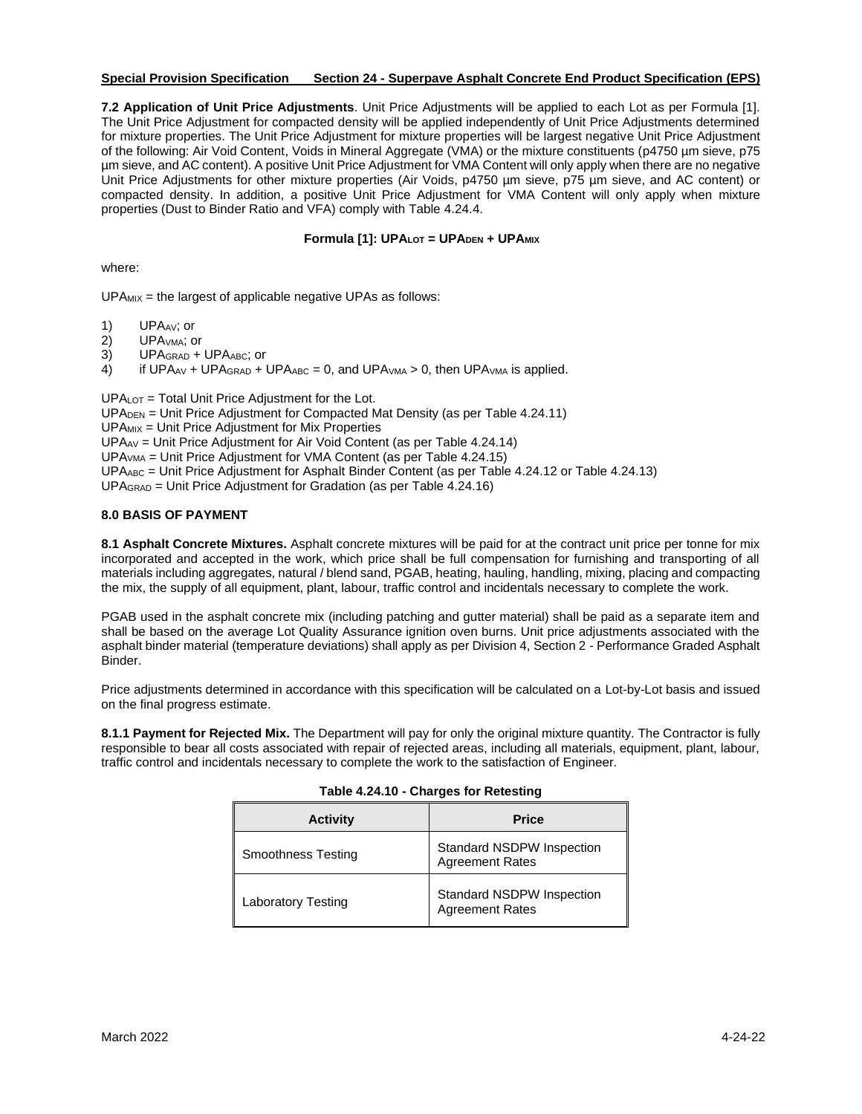**7.2 Application of Unit Price Adjustments**. Unit Price Adjustments will be applied to each Lot as per Formula [1]. The Unit Price Adjustment for compacted density will be applied independently of Unit Price Adjustments determined for mixture properties. The Unit Price Adjustment for mixture properties will be largest negative Unit Price Adjustment of the following: Air Void Content, Voids in Mineral Aggregate (VMA) or the mixture constituents (p4750 µm sieve, p75 µm sieve, and AC content). A positive Unit Price Adjustment for VMA Content will only apply when there are no negative Unit Price Adjustments for other mixture properties (Air Voids, p4750 µm sieve, p75 µm sieve, and AC content) or compacted density. In addition, a positive Unit Price Adjustment for VMA Content will only apply when mixture properties (Dust to Binder Ratio and VFA) comply with Table 4.24.4.

# $F$ *Formula* **[1]: UPA**<sub>LOT</sub> = UPA<sub>DEN</sub> + UPA<sub>MIX</sub>

where:

 $UPA_{MIX}$  = the largest of applicable negative UPAs as follows:

- 1) UPAAV; or
- 2) UPA<sub>VMA</sub>; or
- 3) UPA<sub>GRAD</sub> + UPA<sub>ABC</sub>; or
- 4) if UPAAV + UPAGRAD + UPAABC = 0, and UPA $_{VMA}$  > 0, then UPA $_{VMA}$  is applied.

UPALOT = Total Unit Price Adjustment for the Lot. UPADEN = Unit Price Adjustment for Compacted Mat Density (as per Table 4.24.11)  $UPA_{MIX} =$  Unit Price Adjustment for Mix Properties UPAAV = Unit Price Adjustment for Air Void Content (as per Table 4.24.14) UPAVMA = Unit Price Adjustment for VMA Content (as per Table 4.24.15)

UPAABC = Unit Price Adjustment for Asphalt Binder Content (as per Table 4.24.12 or Table 4.24.13)

UPAGRAD = Unit Price Adjustment for Gradation (as per Table 4.24.16)

# **8.0 BASIS OF PAYMENT**

**8.1 Asphalt Concrete Mixtures.** Asphalt concrete mixtures will be paid for at the contract unit price per tonne for mix incorporated and accepted in the work, which price shall be full compensation for furnishing and transporting of all materials including aggregates, natural / blend sand, PGAB, heating, hauling, handling, mixing, placing and compacting the mix, the supply of all equipment, plant, labour, traffic control and incidentals necessary to complete the work.

PGAB used in the asphalt concrete mix (including patching and gutter material) shall be paid as a separate item and shall be based on the average Lot Quality Assurance ignition oven burns. Unit price adjustments associated with the asphalt binder material (temperature deviations) shall apply as per Division 4, Section 2 - Performance Graded Asphalt Binder.

Price adjustments determined in accordance with this specification will be calculated on a Lot-by-Lot basis and issued on the final progress estimate.

**8.1.1 Payment for Rejected Mix.** The Department will pay for only the original mixture quantity. The Contractor is fully responsible to bear all costs associated with repair of rejected areas, including all materials, equipment, plant, labour, traffic control and incidentals necessary to complete the work to the satisfaction of Engineer.

| <b>Activity</b>           | <b>Price</b>                                               |  |
|---------------------------|------------------------------------------------------------|--|
| <b>Smoothness Testing</b> | <b>Standard NSDPW Inspection</b><br><b>Agreement Rates</b> |  |
| Laboratory Testing        | <b>Standard NSDPW Inspection</b><br><b>Agreement Rates</b> |  |

| Table 4.24.10 - Charges for Retesting |  |
|---------------------------------------|--|
|---------------------------------------|--|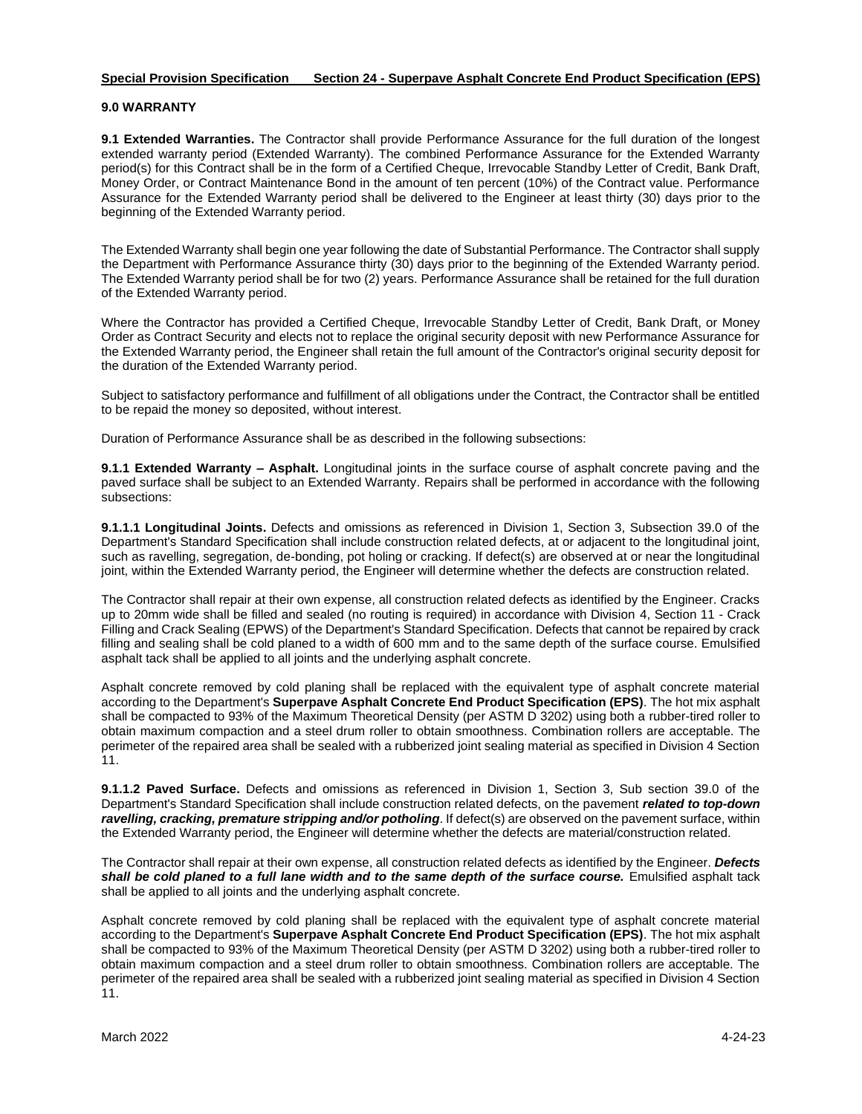#### **9.0 WARRANTY**

**9.1 Extended Warranties.** The Contractor shall provide Performance Assurance for the full duration of the longest extended warranty period (Extended Warranty). The combined Performance Assurance for the Extended Warranty period(s) for this Contract shall be in the form of a Certified Cheque, Irrevocable Standby Letter of Credit, Bank Draft, Money Order, or Contract Maintenance Bond in the amount of ten percent (10%) of the Contract value. Performance Assurance for the Extended Warranty period shall be delivered to the Engineer at least thirty (30) days prior to the beginning of the Extended Warranty period.

The Extended Warranty shall begin one year following the date of Substantial Performance. The Contractor shall supply the Department with Performance Assurance thirty (30) days prior to the beginning of the Extended Warranty period. The Extended Warranty period shall be for two (2) years. Performance Assurance shall be retained for the full duration of the Extended Warranty period.

Where the Contractor has provided a Certified Cheque, Irrevocable Standby Letter of Credit, Bank Draft, or Money Order as Contract Security and elects not to replace the original security deposit with new Performance Assurance for the Extended Warranty period, the Engineer shall retain the full amount of the Contractor's original security deposit for the duration of the Extended Warranty period.

Subject to satisfactory performance and fulfillment of all obligations under the Contract, the Contractor shall be entitled to be repaid the money so deposited, without interest.

Duration of Performance Assurance shall be as described in the following subsections:

**9.1.1 Extended Warranty – Asphalt.** Longitudinal joints in the surface course of asphalt concrete paving and the paved surface shall be subject to an Extended Warranty. Repairs shall be performed in accordance with the following subsections:

**9.1.1.1 Longitudinal Joints.** Defects and omissions as referenced in Division 1, Section 3, Subsection 39.0 of the Department's Standard Specification shall include construction related defects, at or adjacent to the longitudinal joint, such as ravelling, segregation, de-bonding, pot holing or cracking. If defect(s) are observed at or near the longitudinal joint, within the Extended Warranty period, the Engineer will determine whether the defects are construction related.

The Contractor shall repair at their own expense, all construction related defects as identified by the Engineer. Cracks up to 20mm wide shall be filled and sealed (no routing is required) in accordance with Division 4, Section 11 - Crack Filling and Crack Sealing (EPWS) of the Department's Standard Specification. Defects that cannot be repaired by crack filling and sealing shall be cold planed to a width of 600 mm and to the same depth of the surface course. Emulsified asphalt tack shall be applied to all joints and the underlying asphalt concrete.

Asphalt concrete removed by cold planing shall be replaced with the equivalent type of asphalt concrete material according to the Department's **Superpave Asphalt Concrete End Product Specification (EPS)**. The hot mix asphalt shall be compacted to 93% of the Maximum Theoretical Density (per ASTM D 3202) using both a rubber-tired roller to obtain maximum compaction and a steel drum roller to obtain smoothness. Combination rollers are acceptable. The perimeter of the repaired area shall be sealed with a rubberized joint sealing material as specified in Division 4 Section 11.

**9.1.1.2 Paved Surface.** Defects and omissions as referenced in Division 1, Section 3, Sub section 39.0 of the Department's Standard Specification shall include construction related defects, on the pavement *related to top-down* ravelling, cracking, premature stripping and/or potholing. If defect(s) are observed on the pavement surface, within the Extended Warranty period, the Engineer will determine whether the defects are material/construction related.

The Contractor shall repair at their own expense, all construction related defects as identified by the Engineer. *Defects shall be cold planed to a full lane width and to the same depth of the surface course.* Emulsified asphalt tack shall be applied to all joints and the underlying asphalt concrete.

Asphalt concrete removed by cold planing shall be replaced with the equivalent type of asphalt concrete material according to the Department's **Superpave Asphalt Concrete End Product Specification (EPS)**. The hot mix asphalt shall be compacted to 93% of the Maximum Theoretical Density (per ASTM D 3202) using both a rubber-tired roller to obtain maximum compaction and a steel drum roller to obtain smoothness. Combination rollers are acceptable. The perimeter of the repaired area shall be sealed with a rubberized joint sealing material as specified in Division 4 Section 11.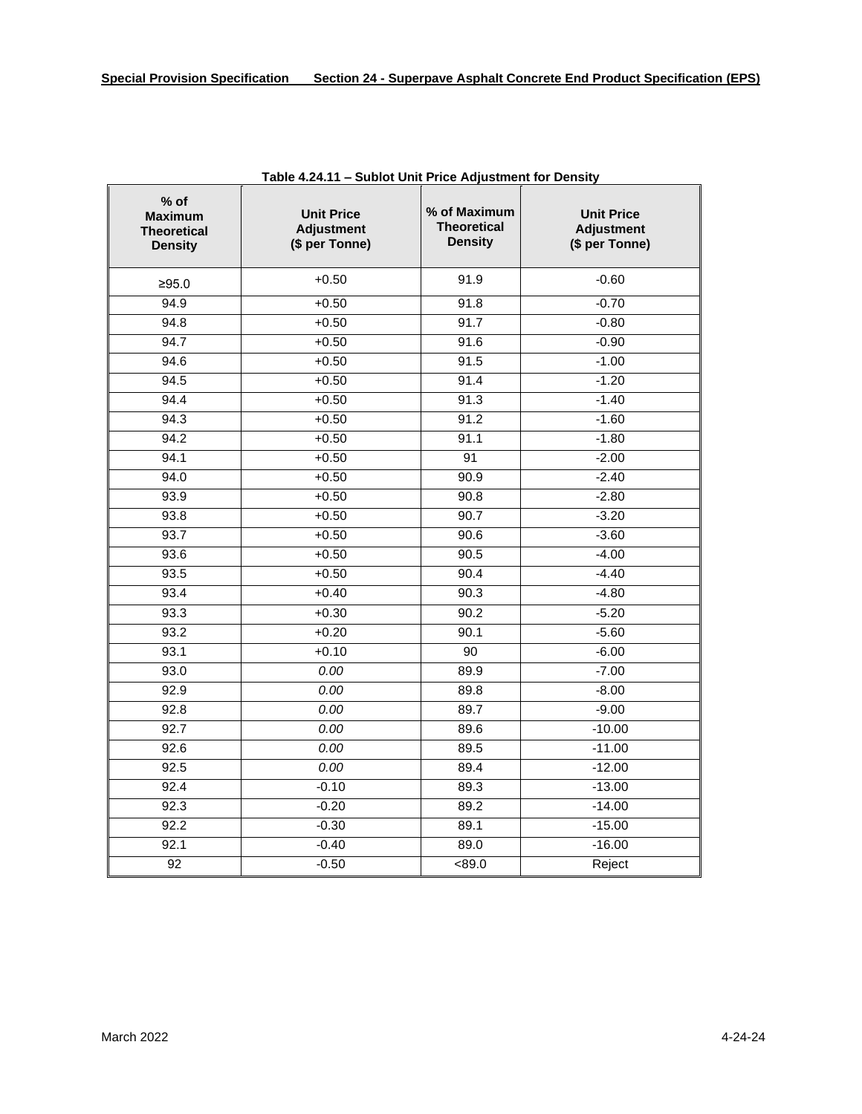| $%$ of<br><b>Maximum</b><br><b>Theoretical</b><br><b>Density</b> | <b>Unit Price</b><br><b>Adjustment</b><br>(\$ per Tonne) | % of Maximum<br><b>Theoretical</b><br><b>Density</b> | <b>Unit Price</b><br><b>Adjustment</b><br>(\$ per Tonne) |
|------------------------------------------------------------------|----------------------------------------------------------|------------------------------------------------------|----------------------------------------------------------|
| ≥95.0                                                            | $+0.50$                                                  | 91.9                                                 | $-0.60$                                                  |
| 94.9                                                             | $+0.50$                                                  | 91.8                                                 | $-0.70$                                                  |
| 94.8                                                             | $+0.50$                                                  | 91.7                                                 | $-0.80$                                                  |
| 94.7                                                             | $+0.50$                                                  | 91.6                                                 | $-0.90$                                                  |
| 94.6                                                             | $+0.50$                                                  | 91.5                                                 | $-1.00$                                                  |
| 94.5                                                             | $+0.50$                                                  | 91.4                                                 | $-1.20$                                                  |
| 94.4                                                             | $+0.50$                                                  | 91.3                                                 | $-1.40$                                                  |
| 94.3                                                             | $+0.50$                                                  | 91.2                                                 | $-1.60$                                                  |
| 94.2                                                             | $+0.50$                                                  | 91.1                                                 | $-1.80$                                                  |
| 94.1                                                             | $+0.50$                                                  | 91                                                   | $-2.00$                                                  |
| 94.0                                                             | $+0.50$                                                  | 90.9                                                 | $-2.40$                                                  |
| 93.9                                                             | $+0.50$                                                  | 90.8                                                 | $-2.80$                                                  |
| 93.8                                                             | $+0.50$                                                  | 90.7                                                 | $-3.20$                                                  |
| 93.7                                                             | $+0.50$                                                  | 90.6                                                 | $-3.60$                                                  |
| 93.6                                                             | $+0.50$                                                  | 90.5                                                 | $-4.00$                                                  |
| 93.5                                                             | $+0.50$                                                  | 90.4                                                 | $-4.40$                                                  |
| 93.4                                                             | $+0.40$                                                  | 90.3                                                 | $-4.80$                                                  |
| 93.3                                                             | $+0.30$                                                  | 90.2                                                 | $-5.20$                                                  |
| 93.2                                                             | $+0.20$                                                  | 90.1                                                 | $-5.60$                                                  |
| 93.1                                                             | $+0.10$                                                  | $\overline{90}$                                      | $-6.00$                                                  |
| 93.0                                                             | 0.00                                                     | 89.9                                                 | $-7.00$                                                  |
| 92.9                                                             | 0.00                                                     | 89.8                                                 | $-8.00$                                                  |
| 92.8                                                             | 0.00                                                     | 89.7                                                 | $-9.00$                                                  |
| 92.7                                                             | 0.00                                                     | 89.6                                                 | $-10.00$                                                 |
| 92.6                                                             | 0.00                                                     | 89.5                                                 | $-11.00$                                                 |
| 92.5                                                             | 0.00                                                     | 89.4                                                 | $-12.00$                                                 |
| 92.4                                                             | $-0.10$                                                  | 89.3                                                 | $-13.00$                                                 |
| 92.3                                                             | $-0.20$                                                  | 89.2                                                 | $-14.00$                                                 |
| 92.2                                                             | $-0.30$                                                  | 89.1                                                 | $-15.00$                                                 |
| 92.1                                                             | $-0.40$                                                  | 89.0                                                 | $-16.00$                                                 |
| $\overline{92}$                                                  | $-0.50$                                                  | <89.0                                                | Reject                                                   |

**Table 4.24.11 – Sublot Unit Price Adjustment for Density**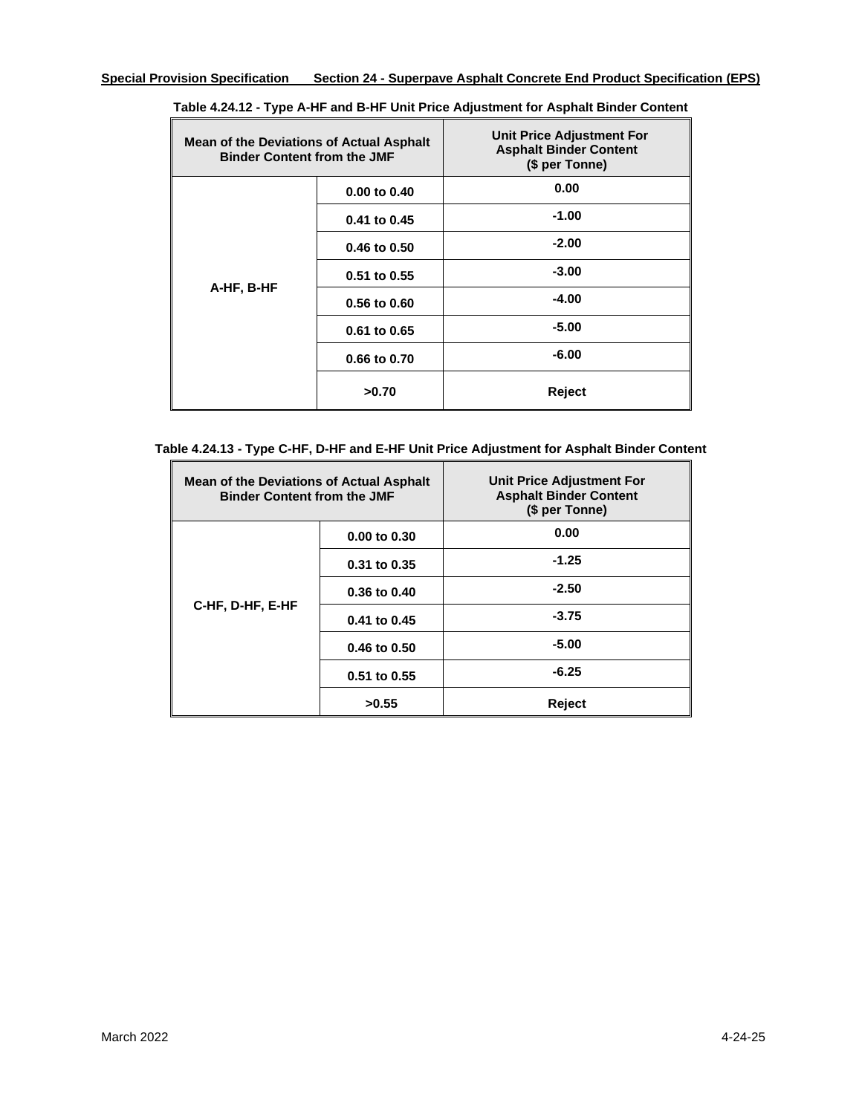| <b>Mean of the Deviations of Actual Asphalt</b><br><b>Binder Content from the JMF</b> |                  | <b>Unit Price Adjustment For</b><br><b>Asphalt Binder Content</b><br>(\$ per Tonne) |
|---------------------------------------------------------------------------------------|------------------|-------------------------------------------------------------------------------------|
| 0.00 to 0.40                                                                          |                  | 0.00                                                                                |
| A-HF, B-HF                                                                            | 0.41 to 0.45     | $-1.00$                                                                             |
|                                                                                       | 0.46 to 0.50     | $-2.00$                                                                             |
|                                                                                       | 0.51 to 0.55     | $-3.00$                                                                             |
|                                                                                       | 0.56 to 0.60     | -4.00                                                                               |
|                                                                                       | $0.61$ to $0.65$ | $-5.00$                                                                             |
|                                                                                       | 0.66 to 0.70     | $-6.00$                                                                             |
|                                                                                       | >0.70            | Reject                                                                              |

**Table 4.24.12 - Type A-HF and B-HF Unit Price Adjustment for Asphalt Binder Content**

**Table 4.24.13 - Type C-HF, D-HF and E-HF Unit Price Adjustment for Asphalt Binder Content**

| Mean of the Deviations of Actual Asphalt<br><b>Binder Content from the JMF</b> |                  | <b>Unit Price Adjustment For</b><br><b>Asphalt Binder Content</b><br>(\$ per Tonne) |
|--------------------------------------------------------------------------------|------------------|-------------------------------------------------------------------------------------|
| $0.00$ to $0.30$                                                               |                  | 0.00                                                                                |
| C-HF, D-HF, E-HF                                                               | 0.31 to 0.35     | $-1.25$                                                                             |
|                                                                                | $0.36$ to $0.40$ | $-2.50$                                                                             |
|                                                                                | 0.41 to 0.45     | $-3.75$                                                                             |
|                                                                                | 0.46 to 0.50     | $-5.00$                                                                             |
|                                                                                | 0.51 to 0.55     | $-6.25$                                                                             |
|                                                                                | >0.55            | Reject                                                                              |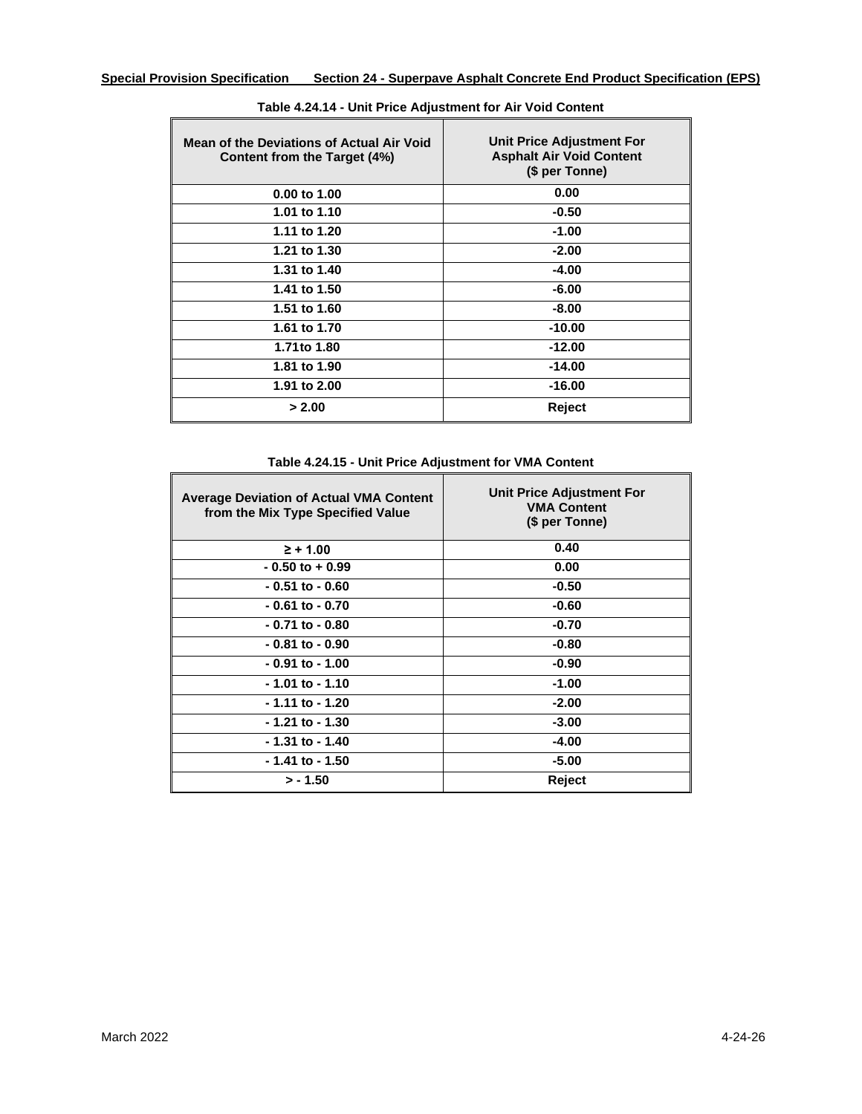| <b>Mean of the Deviations of Actual Air Void</b><br>Content from the Target (4%) | <b>Unit Price Adjustment For</b><br><b>Asphalt Air Void Content</b><br>(\$ per Tonne) |
|----------------------------------------------------------------------------------|---------------------------------------------------------------------------------------|
| $0.00$ to 1.00                                                                   | 0.00                                                                                  |
| 1.01 to 1.10                                                                     | $-0.50$                                                                               |
| 1.11 to 1.20                                                                     | $-1.00$                                                                               |
| 1.21 to 1.30                                                                     | $-2.00$                                                                               |
| 1.31 to 1.40                                                                     | -4.00                                                                                 |
| 1.41 to 1.50                                                                     | $-6.00$                                                                               |
| 1.51 to 1.60                                                                     | $-8.00$                                                                               |
| 1.61 to 1.70                                                                     | $-10.00$                                                                              |
| 1.71to 1.80                                                                      | $-12.00$                                                                              |
| 1.81 to 1.90                                                                     | $-14.00$                                                                              |
| 1.91 to 2.00                                                                     | $-16.00$                                                                              |
| > 2.00                                                                           | Reject                                                                                |

| Table 4.24.14 - Unit Price Adjustment for Air Void Content |  |  |  |
|------------------------------------------------------------|--|--|--|
|                                                            |  |  |  |

**Table 4.24.15 - Unit Price Adjustment for VMA Content**

| <b>Average Deviation of Actual VMA Content</b><br>from the Mix Type Specified Value | <b>Unit Price Adjustment For</b><br><b>VMA Content</b><br>(\$ per Tonne) |  |  |
|-------------------------------------------------------------------------------------|--------------------------------------------------------------------------|--|--|
| $\geq$ + 1.00                                                                       | 0.40                                                                     |  |  |
| $-0.50$ to $+0.99$                                                                  | 0.00                                                                     |  |  |
| $-0.51$ to $-0.60$                                                                  | $-0.50$                                                                  |  |  |
| $-0.61$ to $-0.70$                                                                  | $-0.60$                                                                  |  |  |
| $-0.71$ to $-0.80$                                                                  | $-0.70$                                                                  |  |  |
| $-0.81$ to $-0.90$                                                                  | $-0.80$                                                                  |  |  |
| $-0.91$ to $-1.00$                                                                  | $-0.90$                                                                  |  |  |
| - 1.01 to - 1.10                                                                    | $-1.00$                                                                  |  |  |
| - 1.11 to - 1.20                                                                    | $-2.00$                                                                  |  |  |
| $-1.21$ to $-1.30$                                                                  | $-3.00$                                                                  |  |  |
| - 1.31 to - 1.40                                                                    | $-4.00$                                                                  |  |  |
| $-1.41$ to $-1.50$                                                                  | $-5.00$                                                                  |  |  |
| $> -1.50$                                                                           | Reject                                                                   |  |  |